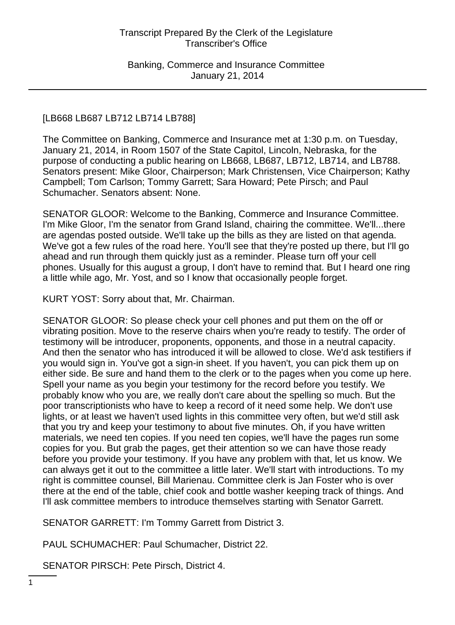### [LB668 LB687 LB712 LB714 LB788]

The Committee on Banking, Commerce and Insurance met at 1:30 p.m. on Tuesday, January 21, 2014, in Room 1507 of the State Capitol, Lincoln, Nebraska, for the purpose of conducting a public hearing on LB668, LB687, LB712, LB714, and LB788. Senators present: Mike Gloor, Chairperson; Mark Christensen, Vice Chairperson; Kathy Campbell; Tom Carlson; Tommy Garrett; Sara Howard; Pete Pirsch; and Paul Schumacher. Senators absent: None.

SENATOR GLOOR: Welcome to the Banking, Commerce and Insurance Committee. I'm Mike Gloor, I'm the senator from Grand Island, chairing the committee. We'll...there are agendas posted outside. We'll take up the bills as they are listed on that agenda. We've got a few rules of the road here. You'll see that they're posted up there, but I'll go ahead and run through them quickly just as a reminder. Please turn off your cell phones. Usually for this august a group, I don't have to remind that. But I heard one ring a little while ago, Mr. Yost, and so I know that occasionally people forget.

KURT YOST: Sorry about that, Mr. Chairman.

SENATOR GLOOR: So please check your cell phones and put them on the off or vibrating position. Move to the reserve chairs when you're ready to testify. The order of testimony will be introducer, proponents, opponents, and those in a neutral capacity. And then the senator who has introduced it will be allowed to close. We'd ask testifiers if you would sign in. You've got a sign-in sheet. If you haven't, you can pick them up on either side. Be sure and hand them to the clerk or to the pages when you come up here. Spell your name as you begin your testimony for the record before you testify. We probably know who you are, we really don't care about the spelling so much. But the poor transcriptionists who have to keep a record of it need some help. We don't use lights, or at least we haven't used lights in this committee very often, but we'd still ask that you try and keep your testimony to about five minutes. Oh, if you have written materials, we need ten copies. If you need ten copies, we'll have the pages run some copies for you. But grab the pages, get their attention so we can have those ready before you provide your testimony. If you have any problem with that, let us know. We can always get it out to the committee a little later. We'll start with introductions. To my right is committee counsel, Bill Marienau. Committee clerk is Jan Foster who is over there at the end of the table, chief cook and bottle washer keeping track of things. And I'll ask committee members to introduce themselves starting with Senator Garrett.

SENATOR GARRETT: I'm Tommy Garrett from District 3.

PAUL SCHUMACHER: Paul Schumacher, District 22.

SENATOR PIRSCH: Pete Pirsch, District 4.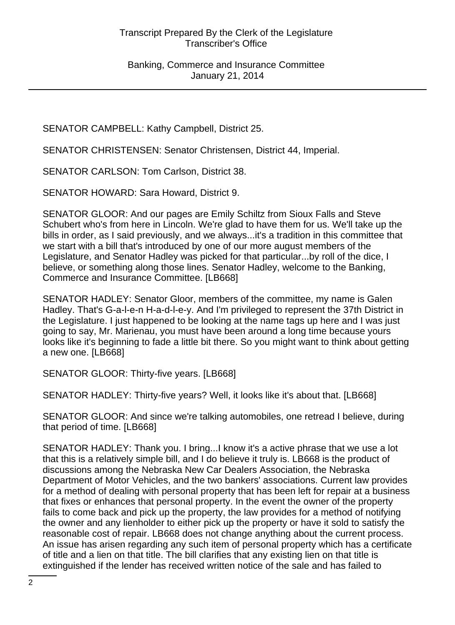SENATOR CAMPBELL: Kathy Campbell, District 25.

SENATOR CHRISTENSEN: Senator Christensen, District 44, Imperial.

SENATOR CARLSON: Tom Carlson, District 38.

SENATOR HOWARD: Sara Howard, District 9.

SENATOR GLOOR: And our pages are Emily Schiltz from Sioux Falls and Steve Schubert who's from here in Lincoln. We're glad to have them for us. We'll take up the bills in order, as I said previously, and we always...it's a tradition in this committee that we start with a bill that's introduced by one of our more august members of the Legislature, and Senator Hadley was picked for that particular...by roll of the dice, I believe, or something along those lines. Senator Hadley, welcome to the Banking, Commerce and Insurance Committee. [LB668]

SENATOR HADLEY: Senator Gloor, members of the committee, my name is Galen Hadley. That's G-a-l-e-n H-a-d-l-e-y. And I'm privileged to represent the 37th District in the Legislature. I just happened to be looking at the name tags up here and I was just going to say, Mr. Marienau, you must have been around a long time because yours looks like it's beginning to fade a little bit there. So you might want to think about getting a new one. [LB668]

SENATOR GLOOR: Thirty-five years. [LB668]

SENATOR HADLEY: Thirty-five years? Well, it looks like it's about that. [LB668]

SENATOR GLOOR: And since we're talking automobiles, one retread I believe, during that period of time. [LB668]

SENATOR HADLEY: Thank you. I bring...I know it's a active phrase that we use a lot that this is a relatively simple bill, and I do believe it truly is. LB668 is the product of discussions among the Nebraska New Car Dealers Association, the Nebraska Department of Motor Vehicles, and the two bankers' associations. Current law provides for a method of dealing with personal property that has been left for repair at a business that fixes or enhances that personal property. In the event the owner of the property fails to come back and pick up the property, the law provides for a method of notifying the owner and any lienholder to either pick up the property or have it sold to satisfy the reasonable cost of repair. LB668 does not change anything about the current process. An issue has arisen regarding any such item of personal property which has a certificate of title and a lien on that title. The bill clarifies that any existing lien on that title is extinguished if the lender has received written notice of the sale and has failed to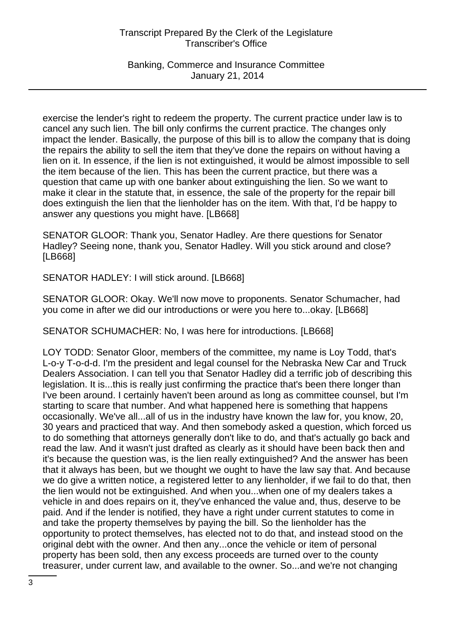Banking, Commerce and Insurance Committee January 21, 2014

exercise the lender's right to redeem the property. The current practice under law is to cancel any such lien. The bill only confirms the current practice. The changes only impact the lender. Basically, the purpose of this bill is to allow the company that is doing the repairs the ability to sell the item that they've done the repairs on without having a lien on it. In essence, if the lien is not extinguished, it would be almost impossible to sell the item because of the lien. This has been the current practice, but there was a question that came up with one banker about extinguishing the lien. So we want to make it clear in the statute that, in essence, the sale of the property for the repair bill does extinguish the lien that the lienholder has on the item. With that, I'd be happy to answer any questions you might have. [LB668]

SENATOR GLOOR: Thank you, Senator Hadley. Are there questions for Senator Hadley? Seeing none, thank you, Senator Hadley. Will you stick around and close? [LB668]

SENATOR HADLEY: I will stick around. [LB668]

SENATOR GLOOR: Okay. We'll now move to proponents. Senator Schumacher, had you come in after we did our introductions or were you here to...okay. [LB668]

SENATOR SCHUMACHER: No, I was here for introductions. [LB668]

LOY TODD: Senator Gloor, members of the committee, my name is Loy Todd, that's L-o-y T-o-d-d. I'm the president and legal counsel for the Nebraska New Car and Truck Dealers Association. I can tell you that Senator Hadley did a terrific job of describing this legislation. It is...this is really just confirming the practice that's been there longer than I've been around. I certainly haven't been around as long as committee counsel, but I'm starting to scare that number. And what happened here is something that happens occasionally. We've all...all of us in the industry have known the law for, you know, 20, 30 years and practiced that way. And then somebody asked a question, which forced us to do something that attorneys generally don't like to do, and that's actually go back and read the law. And it wasn't just drafted as clearly as it should have been back then and it's because the question was, is the lien really extinguished? And the answer has been that it always has been, but we thought we ought to have the law say that. And because we do give a written notice, a registered letter to any lienholder, if we fail to do that, then the lien would not be extinguished. And when you...when one of my dealers takes a vehicle in and does repairs on it, they've enhanced the value and, thus, deserve to be paid. And if the lender is notified, they have a right under current statutes to come in and take the property themselves by paying the bill. So the lienholder has the opportunity to protect themselves, has elected not to do that, and instead stood on the original debt with the owner. And then any...once the vehicle or item of personal property has been sold, then any excess proceeds are turned over to the county treasurer, under current law, and available to the owner. So...and we're not changing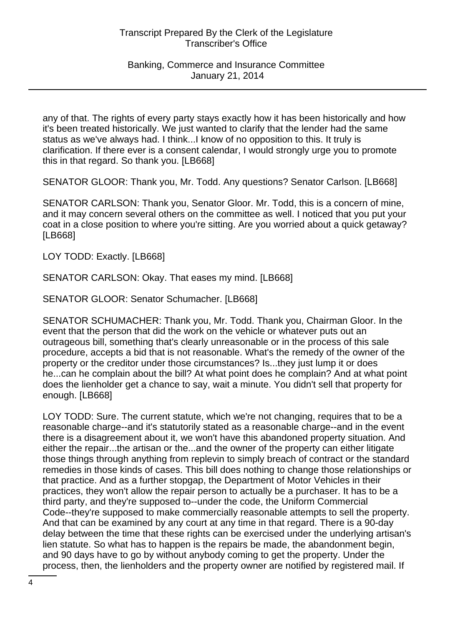any of that. The rights of every party stays exactly how it has been historically and how it's been treated historically. We just wanted to clarify that the lender had the same status as we've always had. I think...I know of no opposition to this. It truly is clarification. If there ever is a consent calendar, I would strongly urge you to promote this in that regard. So thank you. [LB668]

SENATOR GLOOR: Thank you, Mr. Todd. Any questions? Senator Carlson. [LB668]

SENATOR CARLSON: Thank you, Senator Gloor. Mr. Todd, this is a concern of mine, and it may concern several others on the committee as well. I noticed that you put your coat in a close position to where you're sitting. Are you worried about a quick getaway? [LB668]

LOY TODD: Exactly. [LB668]

SENATOR CARLSON: Okay. That eases my mind. [LB668]

SENATOR GLOOR: Senator Schumacher. [LB668]

SENATOR SCHUMACHER: Thank you, Mr. Todd. Thank you, Chairman Gloor. In the event that the person that did the work on the vehicle or whatever puts out an outrageous bill, something that's clearly unreasonable or in the process of this sale procedure, accepts a bid that is not reasonable. What's the remedy of the owner of the property or the creditor under those circumstances? Is...they just lump it or does he...can he complain about the bill? At what point does he complain? And at what point does the lienholder get a chance to say, wait a minute. You didn't sell that property for enough. [LB668]

LOY TODD: Sure. The current statute, which we're not changing, requires that to be a reasonable charge--and it's statutorily stated as a reasonable charge--and in the event there is a disagreement about it, we won't have this abandoned property situation. And either the repair...the artisan or the...and the owner of the property can either litigate those things through anything from replevin to simply breach of contract or the standard remedies in those kinds of cases. This bill does nothing to change those relationships or that practice. And as a further stopgap, the Department of Motor Vehicles in their practices, they won't allow the repair person to actually be a purchaser. It has to be a third party, and they're supposed to--under the code, the Uniform Commercial Code--they're supposed to make commercially reasonable attempts to sell the property. And that can be examined by any court at any time in that regard. There is a 90-day delay between the time that these rights can be exercised under the underlying artisan's lien statute. So what has to happen is the repairs be made, the abandonment begin, and 90 days have to go by without anybody coming to get the property. Under the process, then, the lienholders and the property owner are notified by registered mail. If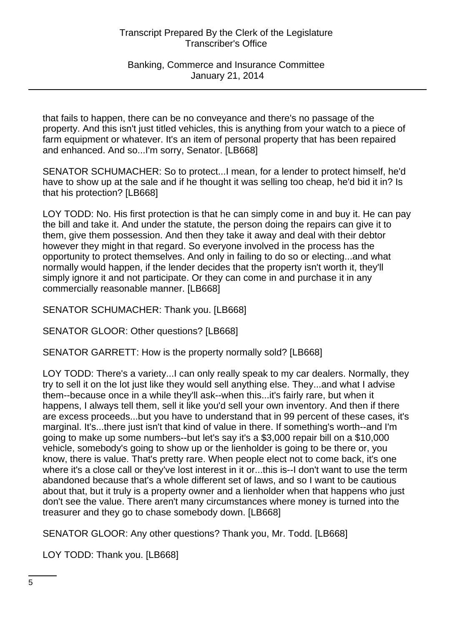Banking, Commerce and Insurance Committee January 21, 2014

that fails to happen, there can be no conveyance and there's no passage of the property. And this isn't just titled vehicles, this is anything from your watch to a piece of farm equipment or whatever. It's an item of personal property that has been repaired and enhanced. And so...I'm sorry, Senator. [LB668]

SENATOR SCHUMACHER: So to protect...I mean, for a lender to protect himself, he'd have to show up at the sale and if he thought it was selling too cheap, he'd bid it in? Is that his protection? [LB668]

LOY TODD: No. His first protection is that he can simply come in and buy it. He can pay the bill and take it. And under the statute, the person doing the repairs can give it to them, give them possession. And then they take it away and deal with their debtor however they might in that regard. So everyone involved in the process has the opportunity to protect themselves. And only in failing to do so or electing...and what normally would happen, if the lender decides that the property isn't worth it, they'll simply ignore it and not participate. Or they can come in and purchase it in any commercially reasonable manner. [LB668]

SENATOR SCHUMACHER: Thank you. [LB668]

SENATOR GLOOR: Other questions? [LB668]

SENATOR GARRETT: How is the property normally sold? [LB668]

LOY TODD: There's a variety...I can only really speak to my car dealers. Normally, they try to sell it on the lot just like they would sell anything else. They...and what I advise them--because once in a while they'll ask--when this...it's fairly rare, but when it happens, I always tell them, sell it like you'd sell your own inventory. And then if there are excess proceeds...but you have to understand that in 99 percent of these cases, it's marginal. It's...there just isn't that kind of value in there. If something's worth--and I'm going to make up some numbers--but let's say it's a \$3,000 repair bill on a \$10,000 vehicle, somebody's going to show up or the lienholder is going to be there or, you know, there is value. That's pretty rare. When people elect not to come back, it's one where it's a close call or they've lost interest in it or...this is--I don't want to use the term abandoned because that's a whole different set of laws, and so I want to be cautious about that, but it truly is a property owner and a lienholder when that happens who just don't see the value. There aren't many circumstances where money is turned into the treasurer and they go to chase somebody down. [LB668]

SENATOR GLOOR: Any other questions? Thank you, Mr. Todd. [LB668]

LOY TODD: Thank you. [LB668]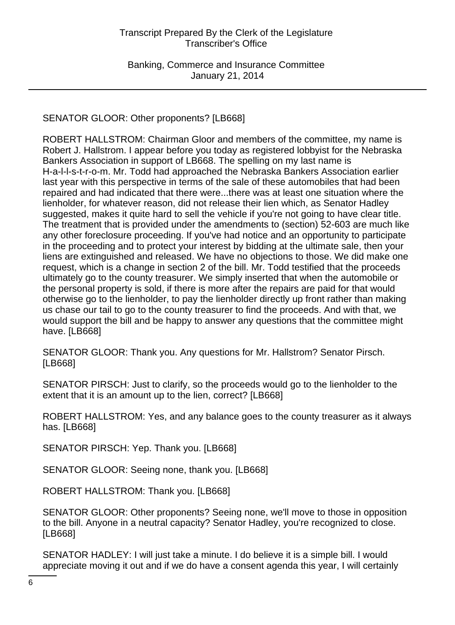# SENATOR GLOOR: Other proponents? [LB668]

ROBERT HALLSTROM: Chairman Gloor and members of the committee, my name is Robert J. Hallstrom. I appear before you today as registered lobbyist for the Nebraska Bankers Association in support of LB668. The spelling on my last name is H-a-l-l-s-t-r-o-m. Mr. Todd had approached the Nebraska Bankers Association earlier last year with this perspective in terms of the sale of these automobiles that had been repaired and had indicated that there were...there was at least one situation where the lienholder, for whatever reason, did not release their lien which, as Senator Hadley suggested, makes it quite hard to sell the vehicle if you're not going to have clear title. The treatment that is provided under the amendments to (section) 52-603 are much like any other foreclosure proceeding. If you've had notice and an opportunity to participate in the proceeding and to protect your interest by bidding at the ultimate sale, then your liens are extinguished and released. We have no objections to those. We did make one request, which is a change in section 2 of the bill. Mr. Todd testified that the proceeds ultimately go to the county treasurer. We simply inserted that when the automobile or the personal property is sold, if there is more after the repairs are paid for that would otherwise go to the lienholder, to pay the lienholder directly up front rather than making us chase our tail to go to the county treasurer to find the proceeds. And with that, we would support the bill and be happy to answer any questions that the committee might have. [LB668]

SENATOR GLOOR: Thank you. Any questions for Mr. Hallstrom? Senator Pirsch. [LB668]

SENATOR PIRSCH: Just to clarify, so the proceeds would go to the lienholder to the extent that it is an amount up to the lien, correct? [LB668]

ROBERT HALLSTROM: Yes, and any balance goes to the county treasurer as it always has. [LB668]

SENATOR PIRSCH: Yep. Thank you. [LB668]

SENATOR GLOOR: Seeing none, thank you. [LB668]

ROBERT HALLSTROM: Thank you. [LB668]

SENATOR GLOOR: Other proponents? Seeing none, we'll move to those in opposition to the bill. Anyone in a neutral capacity? Senator Hadley, you're recognized to close. [LB668]

SENATOR HADLEY: I will just take a minute. I do believe it is a simple bill. I would appreciate moving it out and if we do have a consent agenda this year, I will certainly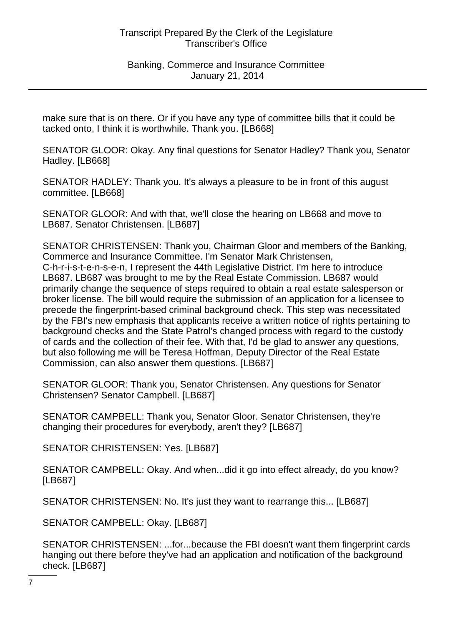Banking, Commerce and Insurance Committee January 21, 2014

make sure that is on there. Or if you have any type of committee bills that it could be tacked onto, I think it is worthwhile. Thank you. [LB668]

SENATOR GLOOR: Okay. Any final questions for Senator Hadley? Thank you, Senator Hadley. [LB668]

SENATOR HADLEY: Thank you. It's always a pleasure to be in front of this august committee. [LB668]

SENATOR GLOOR: And with that, we'll close the hearing on LB668 and move to LB687. Senator Christensen. [LB687]

SENATOR CHRISTENSEN: Thank you, Chairman Gloor and members of the Banking, Commerce and Insurance Committee. I'm Senator Mark Christensen, C-h-r-i-s-t-e-n-s-e-n, I represent the 44th Legislative District. I'm here to introduce LB687. LB687 was brought to me by the Real Estate Commission. LB687 would primarily change the sequence of steps required to obtain a real estate salesperson or broker license. The bill would require the submission of an application for a licensee to precede the fingerprint-based criminal background check. This step was necessitated by the FBI's new emphasis that applicants receive a written notice of rights pertaining to background checks and the State Patrol's changed process with regard to the custody of cards and the collection of their fee. With that, I'd be glad to answer any questions, but also following me will be Teresa Hoffman, Deputy Director of the Real Estate Commission, can also answer them questions. [LB687]

SENATOR GLOOR: Thank you, Senator Christensen. Any questions for Senator Christensen? Senator Campbell. [LB687]

SENATOR CAMPBELL: Thank you, Senator Gloor. Senator Christensen, they're changing their procedures for everybody, aren't they? [LB687]

SENATOR CHRISTENSEN: Yes. [LB687]

SENATOR CAMPBELL: Okay. And when...did it go into effect already, do you know? [LB687]

SENATOR CHRISTENSEN: No. It's just they want to rearrange this... [LB687]

SENATOR CAMPBELL: Okay. [LB687]

SENATOR CHRISTENSEN: ...for...because the FBI doesn't want them fingerprint cards hanging out there before they've had an application and notification of the background check. [LB687]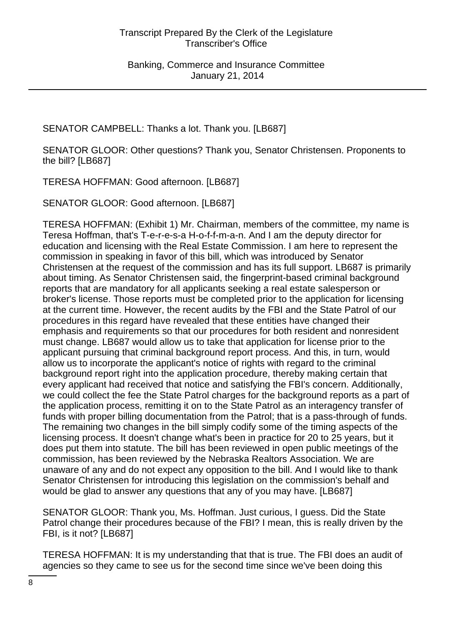SENATOR CAMPBELL: Thanks a lot. Thank you. [LB687]

SENATOR GLOOR: Other questions? Thank you, Senator Christensen. Proponents to the bill? [LB687]

TERESA HOFFMAN: Good afternoon. [LB687]

SENATOR GLOOR: Good afternoon. [LB687]

TERESA HOFFMAN: (Exhibit 1) Mr. Chairman, members of the committee, my name is Teresa Hoffman, that's T-e-r-e-s-a H-o-f-f-m-a-n. And I am the deputy director for education and licensing with the Real Estate Commission. I am here to represent the commission in speaking in favor of this bill, which was introduced by Senator Christensen at the request of the commission and has its full support. LB687 is primarily about timing. As Senator Christensen said, the fingerprint-based criminal background reports that are mandatory for all applicants seeking a real estate salesperson or broker's license. Those reports must be completed prior to the application for licensing at the current time. However, the recent audits by the FBI and the State Patrol of our procedures in this regard have revealed that these entities have changed their emphasis and requirements so that our procedures for both resident and nonresident must change. LB687 would allow us to take that application for license prior to the applicant pursuing that criminal background report process. And this, in turn, would allow us to incorporate the applicant's notice of rights with regard to the criminal background report right into the application procedure, thereby making certain that every applicant had received that notice and satisfying the FBI's concern. Additionally, we could collect the fee the State Patrol charges for the background reports as a part of the application process, remitting it on to the State Patrol as an interagency transfer of funds with proper billing documentation from the Patrol; that is a pass-through of funds. The remaining two changes in the bill simply codify some of the timing aspects of the licensing process. It doesn't change what's been in practice for 20 to 25 years, but it does put them into statute. The bill has been reviewed in open public meetings of the commission, has been reviewed by the Nebraska Realtors Association. We are unaware of any and do not expect any opposition to the bill. And I would like to thank Senator Christensen for introducing this legislation on the commission's behalf and would be glad to answer any questions that any of you may have. [LB687]

SENATOR GLOOR: Thank you, Ms. Hoffman. Just curious, I guess. Did the State Patrol change their procedures because of the FBI? I mean, this is really driven by the FBI, is it not? [LB687]

TERESA HOFFMAN: It is my understanding that that is true. The FBI does an audit of agencies so they came to see us for the second time since we've been doing this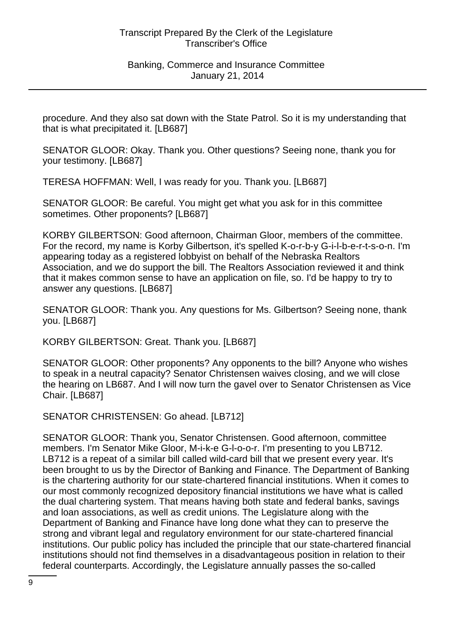procedure. And they also sat down with the State Patrol. So it is my understanding that that is what precipitated it. [LB687]

SENATOR GLOOR: Okay. Thank you. Other questions? Seeing none, thank you for your testimony. [LB687]

TERESA HOFFMAN: Well, I was ready for you. Thank you. [LB687]

SENATOR GLOOR: Be careful. You might get what you ask for in this committee sometimes. Other proponents? [LB687]

KORBY GILBERTSON: Good afternoon, Chairman Gloor, members of the committee. For the record, my name is Korby Gilbertson, it's spelled K-o-r-b-y G-i-l-b-e-r-t-s-o-n. I'm appearing today as a registered lobbyist on behalf of the Nebraska Realtors Association, and we do support the bill. The Realtors Association reviewed it and think that it makes common sense to have an application on file, so. I'd be happy to try to answer any questions. [LB687]

SENATOR GLOOR: Thank you. Any questions for Ms. Gilbertson? Seeing none, thank you. [LB687]

KORBY GILBERTSON: Great. Thank you. [LB687]

SENATOR GLOOR: Other proponents? Any opponents to the bill? Anyone who wishes to speak in a neutral capacity? Senator Christensen waives closing, and we will close the hearing on LB687. And I will now turn the gavel over to Senator Christensen as Vice Chair. [LB687]

SENATOR CHRISTENSEN: Go ahead. [LB712]

SENATOR GLOOR: Thank you, Senator Christensen. Good afternoon, committee members. I'm Senator Mike Gloor, M-i-k-e G-l-o-o-r. I'm presenting to you LB712. LB712 is a repeat of a similar bill called wild-card bill that we present every year. It's been brought to us by the Director of Banking and Finance. The Department of Banking is the chartering authority for our state-chartered financial institutions. When it comes to our most commonly recognized depository financial institutions we have what is called the dual chartering system. That means having both state and federal banks, savings and loan associations, as well as credit unions. The Legislature along with the Department of Banking and Finance have long done what they can to preserve the strong and vibrant legal and regulatory environment for our state-chartered financial institutions. Our public policy has included the principle that our state-chartered financial institutions should not find themselves in a disadvantageous position in relation to their federal counterparts. Accordingly, the Legislature annually passes the so-called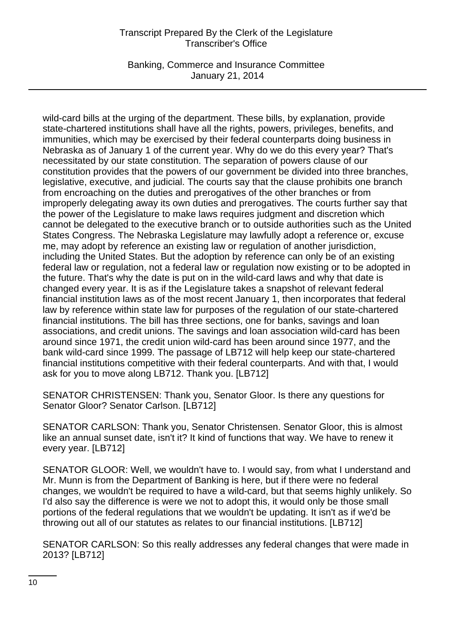Banking, Commerce and Insurance Committee January 21, 2014

wild-card bills at the urging of the department. These bills, by explanation, provide state-chartered institutions shall have all the rights, powers, privileges, benefits, and immunities, which may be exercised by their federal counterparts doing business in Nebraska as of January 1 of the current year. Why do we do this every year? That's necessitated by our state constitution. The separation of powers clause of our constitution provides that the powers of our government be divided into three branches, legislative, executive, and judicial. The courts say that the clause prohibits one branch from encroaching on the duties and prerogatives of the other branches or from improperly delegating away its own duties and prerogatives. The courts further say that the power of the Legislature to make laws requires judgment and discretion which cannot be delegated to the executive branch or to outside authorities such as the United States Congress. The Nebraska Legislature may lawfully adopt a reference or, excuse me, may adopt by reference an existing law or regulation of another jurisdiction, including the United States. But the adoption by reference can only be of an existing federal law or regulation, not a federal law or regulation now existing or to be adopted in the future. That's why the date is put on in the wild-card laws and why that date is changed every year. It is as if the Legislature takes a snapshot of relevant federal financial institution laws as of the most recent January 1, then incorporates that federal law by reference within state law for purposes of the regulation of our state-chartered financial institutions. The bill has three sections, one for banks, savings and loan associations, and credit unions. The savings and loan association wild-card has been around since 1971, the credit union wild-card has been around since 1977, and the bank wild-card since 1999. The passage of LB712 will help keep our state-chartered financial institutions competitive with their federal counterparts. And with that, I would ask for you to move along LB712. Thank you. [LB712]

SENATOR CHRISTENSEN: Thank you, Senator Gloor. Is there any questions for Senator Gloor? Senator Carlson. [LB712]

SENATOR CARLSON: Thank you, Senator Christensen. Senator Gloor, this is almost like an annual sunset date, isn't it? It kind of functions that way. We have to renew it every year. [LB712]

SENATOR GLOOR: Well, we wouldn't have to. I would say, from what I understand and Mr. Munn is from the Department of Banking is here, but if there were no federal changes, we wouldn't be required to have a wild-card, but that seems highly unlikely. So I'd also say the difference is were we not to adopt this, it would only be those small portions of the federal regulations that we wouldn't be updating. It isn't as if we'd be throwing out all of our statutes as relates to our financial institutions. [LB712]

SENATOR CARLSON: So this really addresses any federal changes that were made in 2013? [LB712]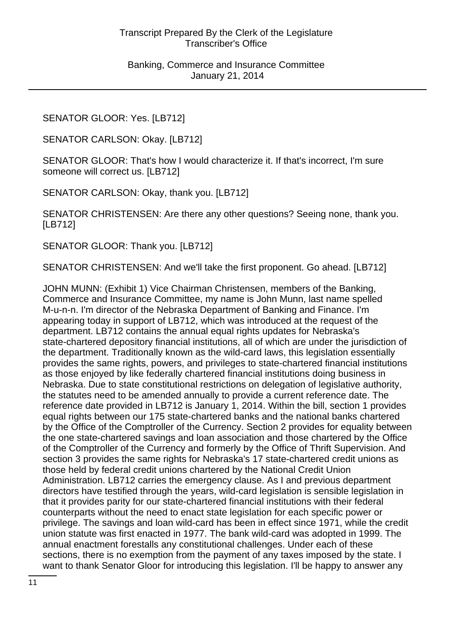SENATOR GLOOR: Yes. [LB712]

SENATOR CARLSON: Okay. [LB712]

SENATOR GLOOR: That's how I would characterize it. If that's incorrect, I'm sure someone will correct us. [LB712]

SENATOR CARLSON: Okay, thank you. [LB712]

SENATOR CHRISTENSEN: Are there any other questions? Seeing none, thank you. [LB712]

SENATOR GLOOR: Thank you. [LB712]

SENATOR CHRISTENSEN: And we'll take the first proponent. Go ahead. [LB712]

JOHN MUNN: (Exhibit 1) Vice Chairman Christensen, members of the Banking, Commerce and Insurance Committee, my name is John Munn, last name spelled M-u-n-n. I'm director of the Nebraska Department of Banking and Finance. I'm appearing today in support of LB712, which was introduced at the request of the department. LB712 contains the annual equal rights updates for Nebraska's state-chartered depository financial institutions, all of which are under the jurisdiction of the department. Traditionally known as the wild-card laws, this legislation essentially provides the same rights, powers, and privileges to state-chartered financial institutions as those enjoyed by like federally chartered financial institutions doing business in Nebraska. Due to state constitutional restrictions on delegation of legislative authority, the statutes need to be amended annually to provide a current reference date. The reference date provided in LB712 is January 1, 2014. Within the bill, section 1 provides equal rights between our 175 state-chartered banks and the national banks chartered by the Office of the Comptroller of the Currency. Section 2 provides for equality between the one state-chartered savings and loan association and those chartered by the Office of the Comptroller of the Currency and formerly by the Office of Thrift Supervision. And section 3 provides the same rights for Nebraska's 17 state-chartered credit unions as those held by federal credit unions chartered by the National Credit Union Administration. LB712 carries the emergency clause. As I and previous department directors have testified through the years, wild-card legislation is sensible legislation in that it provides parity for our state-chartered financial institutions with their federal counterparts without the need to enact state legislation for each specific power or privilege. The savings and loan wild-card has been in effect since 1971, while the credit union statute was first enacted in 1977. The bank wild-card was adopted in 1999. The annual enactment forestalls any constitutional challenges. Under each of these sections, there is no exemption from the payment of any taxes imposed by the state. I want to thank Senator Gloor for introducing this legislation. I'll be happy to answer any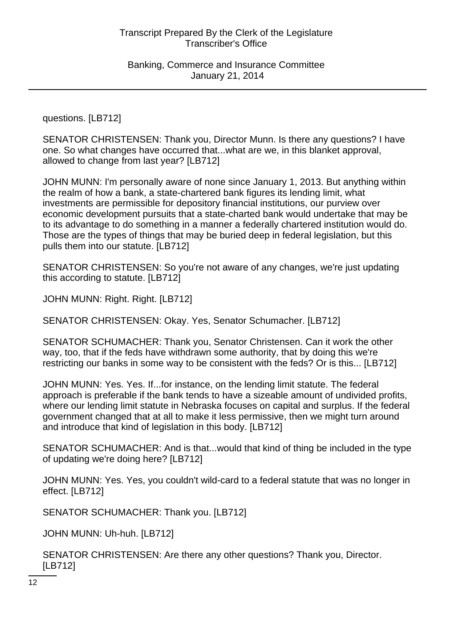questions. [LB712]

SENATOR CHRISTENSEN: Thank you, Director Munn. Is there any questions? I have one. So what changes have occurred that...what are we, in this blanket approval, allowed to change from last year? [LB712]

JOHN MUNN: I'm personally aware of none since January 1, 2013. But anything within the realm of how a bank, a state-chartered bank figures its lending limit, what investments are permissible for depository financial institutions, our purview over economic development pursuits that a state-charted bank would undertake that may be to its advantage to do something in a manner a federally chartered institution would do. Those are the types of things that may be buried deep in federal legislation, but this pulls them into our statute. [LB712]

SENATOR CHRISTENSEN: So you're not aware of any changes, we're just updating this according to statute. [LB712]

JOHN MUNN: Right. Right. [LB712]

SENATOR CHRISTENSEN: Okay. Yes, Senator Schumacher. [LB712]

SENATOR SCHUMACHER: Thank you, Senator Christensen. Can it work the other way, too, that if the feds have withdrawn some authority, that by doing this we're restricting our banks in some way to be consistent with the feds? Or is this... [LB712]

JOHN MUNN: Yes. Yes. If...for instance, on the lending limit statute. The federal approach is preferable if the bank tends to have a sizeable amount of undivided profits, where our lending limit statute in Nebraska focuses on capital and surplus. If the federal government changed that at all to make it less permissive, then we might turn around and introduce that kind of legislation in this body. [LB712]

SENATOR SCHUMACHER: And is that...would that kind of thing be included in the type of updating we're doing here? [LB712]

JOHN MUNN: Yes. Yes, you couldn't wild-card to a federal statute that was no longer in effect. [LB712]

SENATOR SCHUMACHER: Thank you. [LB712]

JOHN MUNN: Uh-huh. [LB712]

SENATOR CHRISTENSEN: Are there any other questions? Thank you, Director. [LB712]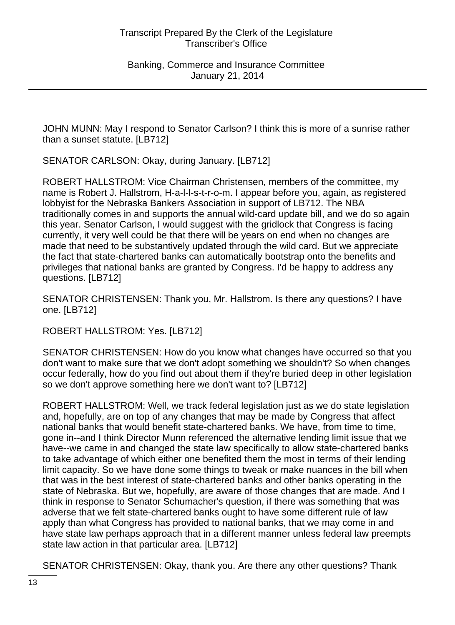JOHN MUNN: May I respond to Senator Carlson? I think this is more of a sunrise rather than a sunset statute. [LB712]

SENATOR CARLSON: Okay, during January. [LB712]

ROBERT HALLSTROM: Vice Chairman Christensen, members of the committee, my name is Robert J. Hallstrom, H-a-l-l-s-t-r-o-m. I appear before you, again, as registered lobbyist for the Nebraska Bankers Association in support of LB712. The NBA traditionally comes in and supports the annual wild-card update bill, and we do so again this year. Senator Carlson, I would suggest with the gridlock that Congress is facing currently, it very well could be that there will be years on end when no changes are made that need to be substantively updated through the wild card. But we appreciate the fact that state-chartered banks can automatically bootstrap onto the benefits and privileges that national banks are granted by Congress. I'd be happy to address any questions. [LB712]

SENATOR CHRISTENSEN: Thank you, Mr. Hallstrom. Is there any questions? I have one. [LB712]

ROBERT HALLSTROM: Yes. [LB712]

SENATOR CHRISTENSEN: How do you know what changes have occurred so that you don't want to make sure that we don't adopt something we shouldn't? So when changes occur federally, how do you find out about them if they're buried deep in other legislation so we don't approve something here we don't want to? [LB712]

ROBERT HALLSTROM: Well, we track federal legislation just as we do state legislation and, hopefully, are on top of any changes that may be made by Congress that affect national banks that would benefit state-chartered banks. We have, from time to time, gone in--and I think Director Munn referenced the alternative lending limit issue that we have--we came in and changed the state law specifically to allow state-chartered banks to take advantage of which either one benefited them the most in terms of their lending limit capacity. So we have done some things to tweak or make nuances in the bill when that was in the best interest of state-chartered banks and other banks operating in the state of Nebraska. But we, hopefully, are aware of those changes that are made. And I think in response to Senator Schumacher's question, if there was something that was adverse that we felt state-chartered banks ought to have some different rule of law apply than what Congress has provided to national banks, that we may come in and have state law perhaps approach that in a different manner unless federal law preempts state law action in that particular area. [LB712]

SENATOR CHRISTENSEN: Okay, thank you. Are there any other questions? Thank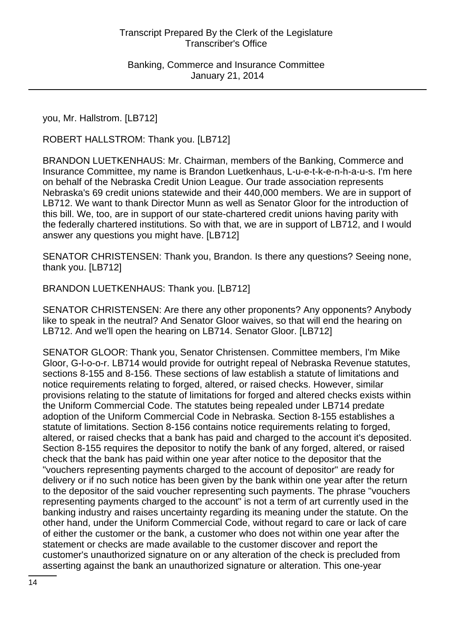you, Mr. Hallstrom. [LB712]

ROBERT HALLSTROM: Thank you. [LB712]

BRANDON LUETKENHAUS: Mr. Chairman, members of the Banking, Commerce and Insurance Committee, my name is Brandon Luetkenhaus, L-u-e-t-k-e-n-h-a-u-s. I'm here on behalf of the Nebraska Credit Union League. Our trade association represents Nebraska's 69 credit unions statewide and their 440,000 members. We are in support of LB712. We want to thank Director Munn as well as Senator Gloor for the introduction of this bill. We, too, are in support of our state-chartered credit unions having parity with the federally chartered institutions. So with that, we are in support of LB712, and I would answer any questions you might have. [LB712]

SENATOR CHRISTENSEN: Thank you, Brandon. Is there any questions? Seeing none, thank you. [LB712]

BRANDON LUETKENHAUS: Thank you. [LB712]

SENATOR CHRISTENSEN: Are there any other proponents? Any opponents? Anybody like to speak in the neutral? And Senator Gloor waives, so that will end the hearing on LB712. And we'll open the hearing on LB714. Senator Gloor. [LB712]

SENATOR GLOOR: Thank you, Senator Christensen. Committee members, I'm Mike Gloor, G-l-o-o-r. LB714 would provide for outright repeal of Nebraska Revenue statutes, sections 8-155 and 8-156. These sections of law establish a statute of limitations and notice requirements relating to forged, altered, or raised checks. However, similar provisions relating to the statute of limitations for forged and altered checks exists within the Uniform Commercial Code. The statutes being repealed under LB714 predate adoption of the Uniform Commercial Code in Nebraska. Section 8-155 establishes a statute of limitations. Section 8-156 contains notice requirements relating to forged, altered, or raised checks that a bank has paid and charged to the account it's deposited. Section 8-155 requires the depositor to notify the bank of any forged, altered, or raised check that the bank has paid within one year after notice to the depositor that the "vouchers representing payments charged to the account of depositor" are ready for delivery or if no such notice has been given by the bank within one year after the return to the depositor of the said voucher representing such payments. The phrase "vouchers representing payments charged to the account" is not a term of art currently used in the banking industry and raises uncertainty regarding its meaning under the statute. On the other hand, under the Uniform Commercial Code, without regard to care or lack of care of either the customer or the bank, a customer who does not within one year after the statement or checks are made available to the customer discover and report the customer's unauthorized signature on or any alteration of the check is precluded from asserting against the bank an unauthorized signature or alteration. This one-year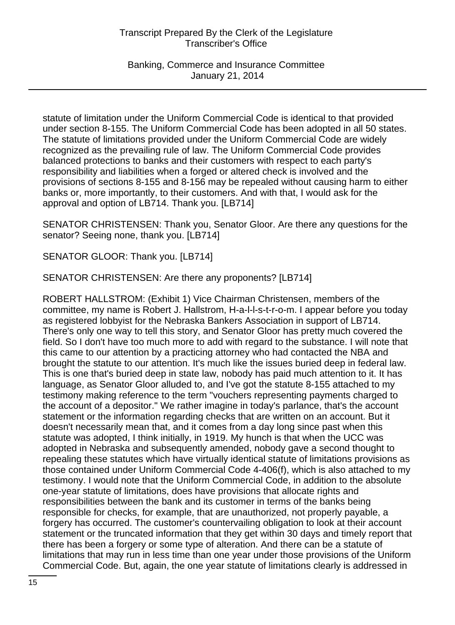Banking, Commerce and Insurance Committee January 21, 2014

statute of limitation under the Uniform Commercial Code is identical to that provided under section 8-155. The Uniform Commercial Code has been adopted in all 50 states. The statute of limitations provided under the Uniform Commercial Code are widely recognized as the prevailing rule of law. The Uniform Commercial Code provides balanced protections to banks and their customers with respect to each party's responsibility and liabilities when a forged or altered check is involved and the provisions of sections 8-155 and 8-156 may be repealed without causing harm to either banks or, more importantly, to their customers. And with that, I would ask for the approval and option of LB714. Thank you. [LB714]

SENATOR CHRISTENSEN: Thank you, Senator Gloor. Are there any questions for the senator? Seeing none, thank you. [LB714]

SENATOR GLOOR: Thank you. [LB714]

SENATOR CHRISTENSEN: Are there any proponents? [LB714]

ROBERT HALLSTROM: (Exhibit 1) Vice Chairman Christensen, members of the committee, my name is Robert J. Hallstrom, H-a-l-l-s-t-r-o-m. I appear before you today as registered lobbyist for the Nebraska Bankers Association in support of LB714. There's only one way to tell this story, and Senator Gloor has pretty much covered the field. So I don't have too much more to add with regard to the substance. I will note that this came to our attention by a practicing attorney who had contacted the NBA and brought the statute to our attention. It's much like the issues buried deep in federal law. This is one that's buried deep in state law, nobody has paid much attention to it. It has language, as Senator Gloor alluded to, and I've got the statute 8-155 attached to my testimony making reference to the term "vouchers representing payments charged to the account of a depositor." We rather imagine in today's parlance, that's the account statement or the information regarding checks that are written on an account. But it doesn't necessarily mean that, and it comes from a day long since past when this statute was adopted, I think initially, in 1919. My hunch is that when the UCC was adopted in Nebraska and subsequently amended, nobody gave a second thought to repealing these statutes which have virtually identical statute of limitations provisions as those contained under Uniform Commercial Code 4-406(f), which is also attached to my testimony. I would note that the Uniform Commercial Code, in addition to the absolute one-year statute of limitations, does have provisions that allocate rights and responsibilities between the bank and its customer in terms of the banks being responsible for checks, for example, that are unauthorized, not properly payable, a forgery has occurred. The customer's countervailing obligation to look at their account statement or the truncated information that they get within 30 days and timely report that there has been a forgery or some type of alteration. And there can be a statute of limitations that may run in less time than one year under those provisions of the Uniform Commercial Code. But, again, the one year statute of limitations clearly is addressed in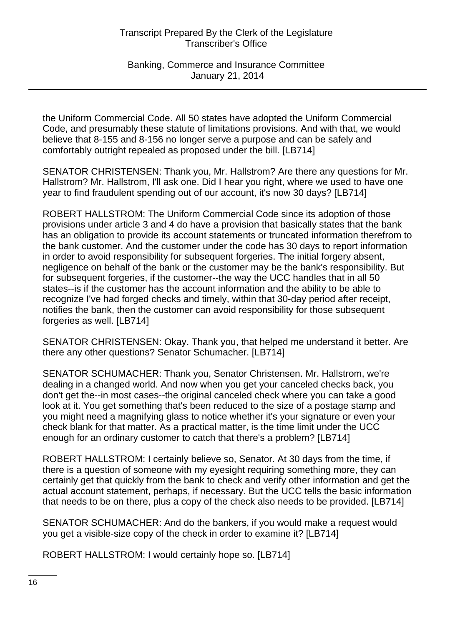Banking, Commerce and Insurance Committee January 21, 2014

the Uniform Commercial Code. All 50 states have adopted the Uniform Commercial Code, and presumably these statute of limitations provisions. And with that, we would believe that 8-155 and 8-156 no longer serve a purpose and can be safely and comfortably outright repealed as proposed under the bill. [LB714]

SENATOR CHRISTENSEN: Thank you, Mr. Hallstrom? Are there any questions for Mr. Hallstrom? Mr. Hallstrom, I'll ask one. Did I hear you right, where we used to have one year to find fraudulent spending out of our account, it's now 30 days? [LB714]

ROBERT HALLSTROM: The Uniform Commercial Code since its adoption of those provisions under article 3 and 4 do have a provision that basically states that the bank has an obligation to provide its account statements or truncated information therefrom to the bank customer. And the customer under the code has 30 days to report information in order to avoid responsibility for subsequent forgeries. The initial forgery absent, negligence on behalf of the bank or the customer may be the bank's responsibility. But for subsequent forgeries, if the customer--the way the UCC handles that in all 50 states--is if the customer has the account information and the ability to be able to recognize I've had forged checks and timely, within that 30-day period after receipt, notifies the bank, then the customer can avoid responsibility for those subsequent forgeries as well. [LB714]

SENATOR CHRISTENSEN: Okay. Thank you, that helped me understand it better. Are there any other questions? Senator Schumacher. [LB714]

SENATOR SCHUMACHER: Thank you, Senator Christensen. Mr. Hallstrom, we're dealing in a changed world. And now when you get your canceled checks back, you don't get the--in most cases--the original canceled check where you can take a good look at it. You get something that's been reduced to the size of a postage stamp and you might need a magnifying glass to notice whether it's your signature or even your check blank for that matter. As a practical matter, is the time limit under the UCC enough for an ordinary customer to catch that there's a problem? [LB714]

ROBERT HALLSTROM: I certainly believe so, Senator. At 30 days from the time, if there is a question of someone with my eyesight requiring something more, they can certainly get that quickly from the bank to check and verify other information and get the actual account statement, perhaps, if necessary. But the UCC tells the basic information that needs to be on there, plus a copy of the check also needs to be provided. [LB714]

SENATOR SCHUMACHER: And do the bankers, if you would make a request would you get a visible-size copy of the check in order to examine it? [LB714]

ROBERT HALLSTROM: I would certainly hope so. [LB714]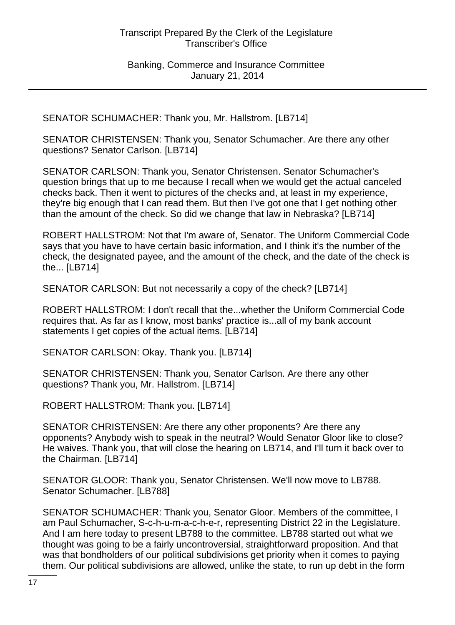SENATOR SCHUMACHER: Thank you, Mr. Hallstrom. [LB714]

SENATOR CHRISTENSEN: Thank you, Senator Schumacher. Are there any other questions? Senator Carlson. [LB714]

SENATOR CARLSON: Thank you, Senator Christensen. Senator Schumacher's question brings that up to me because I recall when we would get the actual canceled checks back. Then it went to pictures of the checks and, at least in my experience, they're big enough that I can read them. But then I've got one that I get nothing other than the amount of the check. So did we change that law in Nebraska? [LB714]

ROBERT HALLSTROM: Not that I'm aware of, Senator. The Uniform Commercial Code says that you have to have certain basic information, and I think it's the number of the check, the designated payee, and the amount of the check, and the date of the check is the... [LB714]

SENATOR CARLSON: But not necessarily a copy of the check? [LB714]

ROBERT HALLSTROM: I don't recall that the...whether the Uniform Commercial Code requires that. As far as I know, most banks' practice is...all of my bank account statements I get copies of the actual items. [LB714]

SENATOR CARLSON: Okay. Thank you. [LB714]

SENATOR CHRISTENSEN: Thank you, Senator Carlson. Are there any other questions? Thank you, Mr. Hallstrom. [LB714]

ROBERT HALLSTROM: Thank you. [LB714]

SENATOR CHRISTENSEN: Are there any other proponents? Are there any opponents? Anybody wish to speak in the neutral? Would Senator Gloor like to close? He waives. Thank you, that will close the hearing on LB714, and I'll turn it back over to the Chairman. [LB714]

SENATOR GLOOR: Thank you, Senator Christensen. We'll now move to LB788. Senator Schumacher. [LB788]

SENATOR SCHUMACHER: Thank you, Senator Gloor. Members of the committee, I am Paul Schumacher, S-c-h-u-m-a-c-h-e-r, representing District 22 in the Legislature. And I am here today to present LB788 to the committee. LB788 started out what we thought was going to be a fairly uncontroversial, straightforward proposition. And that was that bondholders of our political subdivisions get priority when it comes to paying them. Our political subdivisions are allowed, unlike the state, to run up debt in the form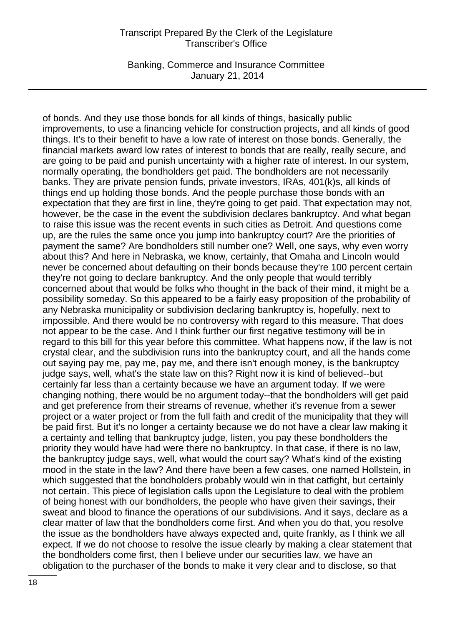Banking, Commerce and Insurance Committee January 21, 2014

of bonds. And they use those bonds for all kinds of things, basically public improvements, to use a financing vehicle for construction projects, and all kinds of good things. It's to their benefit to have a low rate of interest on those bonds. Generally, the financial markets award low rates of interest to bonds that are really, really secure, and are going to be paid and punish uncertainty with a higher rate of interest. In our system, normally operating, the bondholders get paid. The bondholders are not necessarily banks. They are private pension funds, private investors, IRAs, 401(k)s, all kinds of things end up holding those bonds. And the people purchase those bonds with an expectation that they are first in line, they're going to get paid. That expectation may not, however, be the case in the event the subdivision declares bankruptcy. And what began to raise this issue was the recent events in such cities as Detroit. And questions come up, are the rules the same once you jump into bankruptcy court? Are the priorities of payment the same? Are bondholders still number one? Well, one says, why even worry about this? And here in Nebraska, we know, certainly, that Omaha and Lincoln would never be concerned about defaulting on their bonds because they're 100 percent certain they're not going to declare bankruptcy. And the only people that would terribly concerned about that would be folks who thought in the back of their mind, it might be a possibility someday. So this appeared to be a fairly easy proposition of the probability of any Nebraska municipality or subdivision declaring bankruptcy is, hopefully, next to impossible. And there would be no controversy with regard to this measure. That does not appear to be the case. And I think further our first negative testimony will be in regard to this bill for this year before this committee. What happens now, if the law is not crystal clear, and the subdivision runs into the bankruptcy court, and all the hands come out saying pay me, pay me, pay me, and there isn't enough money, is the bankruptcy judge says, well, what's the state law on this? Right now it is kind of believed--but certainly far less than a certainty because we have an argument today. If we were changing nothing, there would be no argument today--that the bondholders will get paid and get preference from their streams of revenue, whether it's revenue from a sewer project or a water project or from the full faith and credit of the municipality that they will be paid first. But it's no longer a certainty because we do not have a clear law making it a certainty and telling that bankruptcy judge, listen, you pay these bondholders the priority they would have had were there no bankruptcy. In that case, if there is no law, the bankruptcy judge says, well, what would the court say? What's kind of the existing mood in the state in the law? And there have been a few cases, one named Hollstein, in which suggested that the bondholders probably would win in that catfight, but certainly not certain. This piece of legislation calls upon the Legislature to deal with the problem of being honest with our bondholders, the people who have given their savings, their sweat and blood to finance the operations of our subdivisions. And it says, declare as a clear matter of law that the bondholders come first. And when you do that, you resolve the issue as the bondholders have always expected and, quite frankly, as I think we all expect. If we do not choose to resolve the issue clearly by making a clear statement that the bondholders come first, then I believe under our securities law, we have an obligation to the purchaser of the bonds to make it very clear and to disclose, so that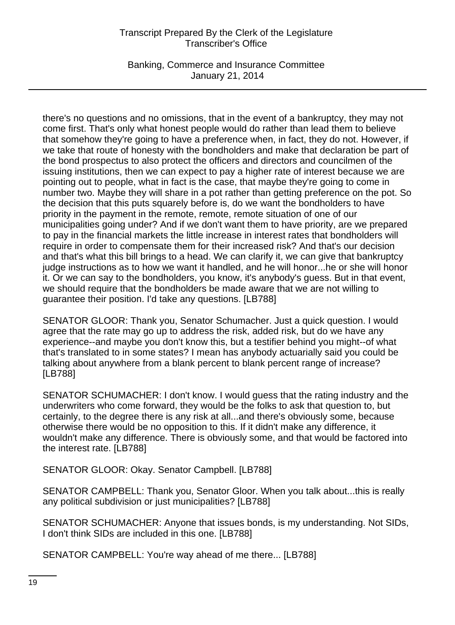Banking, Commerce and Insurance Committee January 21, 2014

there's no questions and no omissions, that in the event of a bankruptcy, they may not come first. That's only what honest people would do rather than lead them to believe that somehow they're going to have a preference when, in fact, they do not. However, if we take that route of honesty with the bondholders and make that declaration be part of the bond prospectus to also protect the officers and directors and councilmen of the issuing institutions, then we can expect to pay a higher rate of interest because we are pointing out to people, what in fact is the case, that maybe they're going to come in number two. Maybe they will share in a pot rather than getting preference on the pot. So the decision that this puts squarely before is, do we want the bondholders to have priority in the payment in the remote, remote, remote situation of one of our municipalities going under? And if we don't want them to have priority, are we prepared to pay in the financial markets the little increase in interest rates that bondholders will require in order to compensate them for their increased risk? And that's our decision and that's what this bill brings to a head. We can clarify it, we can give that bankruptcy judge instructions as to how we want it handled, and he will honor...he or she will honor it. Or we can say to the bondholders, you know, it's anybody's guess. But in that event, we should require that the bondholders be made aware that we are not willing to guarantee their position. I'd take any questions. [LB788]

SENATOR GLOOR: Thank you, Senator Schumacher. Just a quick question. I would agree that the rate may go up to address the risk, added risk, but do we have any experience--and maybe you don't know this, but a testifier behind you might--of what that's translated to in some states? I mean has anybody actuarially said you could be talking about anywhere from a blank percent to blank percent range of increase? [LB788]

SENATOR SCHUMACHER: I don't know. I would guess that the rating industry and the underwriters who come forward, they would be the folks to ask that question to, but certainly, to the degree there is any risk at all...and there's obviously some, because otherwise there would be no opposition to this. If it didn't make any difference, it wouldn't make any difference. There is obviously some, and that would be factored into the interest rate. [LB788]

SENATOR GLOOR: Okay. Senator Campbell. [LB788]

SENATOR CAMPBELL: Thank you, Senator Gloor. When you talk about...this is really any political subdivision or just municipalities? [LB788]

SENATOR SCHUMACHER: Anyone that issues bonds, is my understanding. Not SIDs, I don't think SIDs are included in this one. [LB788]

SENATOR CAMPBELL: You're way ahead of me there... [LB788]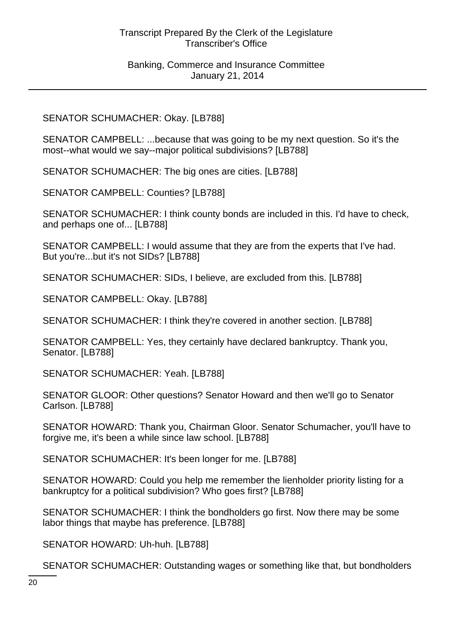## SENATOR SCHUMACHER: Okay. [LB788]

SENATOR CAMPBELL: ...because that was going to be my next question. So it's the most--what would we say--major political subdivisions? [LB788]

SENATOR SCHUMACHER: The big ones are cities. [LB788]

SENATOR CAMPBELL: Counties? [LB788]

SENATOR SCHUMACHER: I think county bonds are included in this. I'd have to check, and perhaps one of... [LB788]

SENATOR CAMPBELL: I would assume that they are from the experts that I've had. But you're...but it's not SIDs? [LB788]

SENATOR SCHUMACHER: SIDs, I believe, are excluded from this. [LB788]

SENATOR CAMPBELL: Okay. [LB788]

SENATOR SCHUMACHER: I think they're covered in another section. [LB788]

SENATOR CAMPBELL: Yes, they certainly have declared bankruptcy. Thank you, Senator. [LB788]

SENATOR SCHUMACHER: Yeah. [LB788]

SENATOR GLOOR: Other questions? Senator Howard and then we'll go to Senator Carlson. [LB788]

SENATOR HOWARD: Thank you, Chairman Gloor. Senator Schumacher, you'll have to forgive me, it's been a while since law school. [LB788]

SENATOR SCHUMACHER: It's been longer for me. [LB788]

SENATOR HOWARD: Could you help me remember the lienholder priority listing for a bankruptcy for a political subdivision? Who goes first? [LB788]

SENATOR SCHUMACHER: I think the bondholders go first. Now there may be some labor things that maybe has preference. [LB788]

SENATOR HOWARD: Uh-huh. [LB788]

SENATOR SCHUMACHER: Outstanding wages or something like that, but bondholders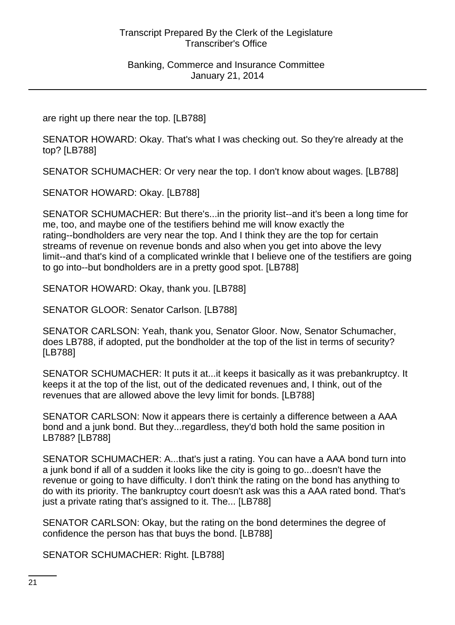are right up there near the top. [LB788]

SENATOR HOWARD: Okay. That's what I was checking out. So they're already at the top? [LB788]

SENATOR SCHUMACHER: Or very near the top. I don't know about wages. [LB788]

SENATOR HOWARD: Okay. [LB788]

SENATOR SCHUMACHER: But there's...in the priority list--and it's been a long time for me, too, and maybe one of the testifiers behind me will know exactly the rating--bondholders are very near the top. And I think they are the top for certain streams of revenue on revenue bonds and also when you get into above the levy limit--and that's kind of a complicated wrinkle that I believe one of the testifiers are going to go into--but bondholders are in a pretty good spot. [LB788]

SENATOR HOWARD: Okay, thank you. [LB788]

SENATOR GLOOR: Senator Carlson. [LB788]

SENATOR CARLSON: Yeah, thank you, Senator Gloor. Now, Senator Schumacher, does LB788, if adopted, put the bondholder at the top of the list in terms of security? [LB788]

SENATOR SCHUMACHER: It puts it at...it keeps it basically as it was prebankruptcy. It keeps it at the top of the list, out of the dedicated revenues and, I think, out of the revenues that are allowed above the levy limit for bonds. [LB788]

SENATOR CARLSON: Now it appears there is certainly a difference between a AAA bond and a junk bond. But they...regardless, they'd both hold the same position in LB788? [LB788]

SENATOR SCHUMACHER: A...that's just a rating. You can have a AAA bond turn into a junk bond if all of a sudden it looks like the city is going to go...doesn't have the revenue or going to have difficulty. I don't think the rating on the bond has anything to do with its priority. The bankruptcy court doesn't ask was this a AAA rated bond. That's just a private rating that's assigned to it. The... [LB788]

SENATOR CARLSON: Okay, but the rating on the bond determines the degree of confidence the person has that buys the bond. [LB788]

SENATOR SCHUMACHER: Right. [LB788]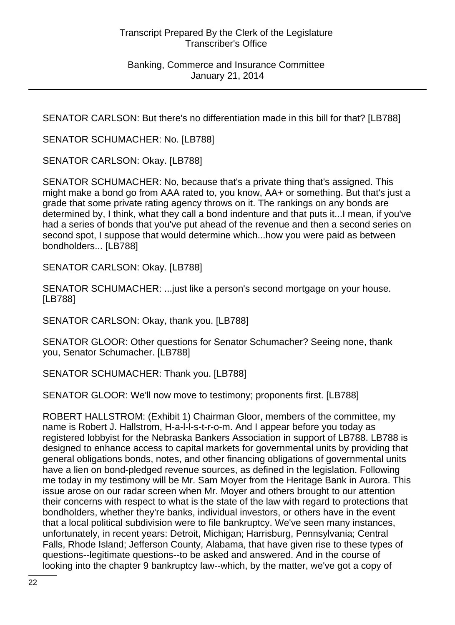SENATOR CARLSON: But there's no differentiation made in this bill for that? [LB788]

SENATOR SCHUMACHER: No. [LB788]

SENATOR CARLSON: Okay. [LB788]

SENATOR SCHUMACHER: No, because that's a private thing that's assigned. This might make a bond go from AAA rated to, you know, AA+ or something. But that's just a grade that some private rating agency throws on it. The rankings on any bonds are determined by, I think, what they call a bond indenture and that puts it...I mean, if you've had a series of bonds that you've put ahead of the revenue and then a second series on second spot, I suppose that would determine which...how you were paid as between bondholders... [LB788]

SENATOR CARLSON: Okay. [LB788]

SENATOR SCHUMACHER: ...just like a person's second mortgage on your house. [LB788]

SENATOR CARLSON: Okay, thank you. [LB788]

SENATOR GLOOR: Other questions for Senator Schumacher? Seeing none, thank you, Senator Schumacher. [LB788]

SENATOR SCHUMACHER: Thank you. [LB788]

SENATOR GLOOR: We'll now move to testimony; proponents first. [LB788]

ROBERT HALLSTROM: (Exhibit 1) Chairman Gloor, members of the committee, my name is Robert J. Hallstrom, H-a-l-l-s-t-r-o-m. And I appear before you today as registered lobbyist for the Nebraska Bankers Association in support of LB788. LB788 is designed to enhance access to capital markets for governmental units by providing that general obligations bonds, notes, and other financing obligations of governmental units have a lien on bond-pledged revenue sources, as defined in the legislation. Following me today in my testimony will be Mr. Sam Moyer from the Heritage Bank in Aurora. This issue arose on our radar screen when Mr. Moyer and others brought to our attention their concerns with respect to what is the state of the law with regard to protections that bondholders, whether they're banks, individual investors, or others have in the event that a local political subdivision were to file bankruptcy. We've seen many instances, unfortunately, in recent years: Detroit, Michigan; Harrisburg, Pennsylvania; Central Falls, Rhode Island; Jefferson County, Alabama, that have given rise to these types of questions--legitimate questions--to be asked and answered. And in the course of looking into the chapter 9 bankruptcy law--which, by the matter, we've got a copy of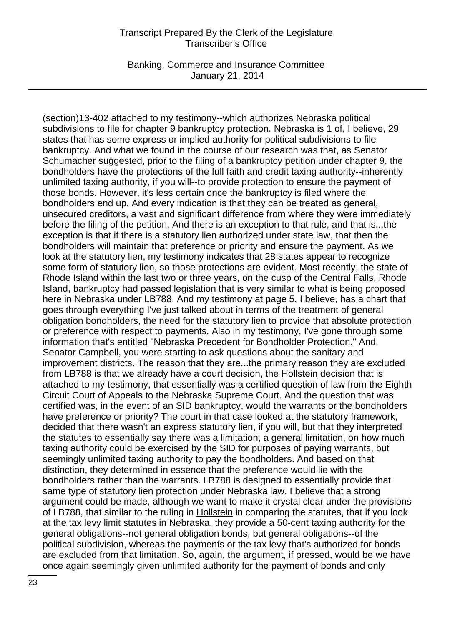Banking, Commerce and Insurance Committee January 21, 2014

(section)13-402 attached to my testimony--which authorizes Nebraska political subdivisions to file for chapter 9 bankruptcy protection. Nebraska is 1 of, I believe, 29 states that has some express or implied authority for political subdivisions to file bankruptcy. And what we found in the course of our research was that, as Senator Schumacher suggested, prior to the filing of a bankruptcy petition under chapter 9, the bondholders have the protections of the full faith and credit taxing authority--inherently unlimited taxing authority, if you will--to provide protection to ensure the payment of those bonds. However, it's less certain once the bankruptcy is filed where the bondholders end up. And every indication is that they can be treated as general, unsecured creditors, a vast and significant difference from where they were immediately before the filing of the petition. And there is an exception to that rule, and that is...the exception is that if there is a statutory lien authorized under state law, that then the bondholders will maintain that preference or priority and ensure the payment. As we look at the statutory lien, my testimony indicates that 28 states appear to recognize some form of statutory lien, so those protections are evident. Most recently, the state of Rhode Island within the last two or three years, on the cusp of the Central Falls, Rhode Island, bankruptcy had passed legislation that is very similar to what is being proposed here in Nebraska under LB788. And my testimony at page 5, I believe, has a chart that goes through everything I've just talked about in terms of the treatment of general obligation bondholders, the need for the statutory lien to provide that absolute protection or preference with respect to payments. Also in my testimony, I've gone through some information that's entitled "Nebraska Precedent for Bondholder Protection." And, Senator Campbell, you were starting to ask questions about the sanitary and improvement districts. The reason that they are...the primary reason they are excluded from LB788 is that we already have a court decision, the Hollstein decision that is attached to my testimony, that essentially was a certified question of law from the Eighth Circuit Court of Appeals to the Nebraska Supreme Court. And the question that was certified was, in the event of an SID bankruptcy, would the warrants or the bondholders have preference or priority? The court in that case looked at the statutory framework, decided that there wasn't an express statutory lien, if you will, but that they interpreted the statutes to essentially say there was a limitation, a general limitation, on how much taxing authority could be exercised by the SID for purposes of paying warrants, but seemingly unlimited taxing authority to pay the bondholders. And based on that distinction, they determined in essence that the preference would lie with the bondholders rather than the warrants. LB788 is designed to essentially provide that same type of statutory lien protection under Nebraska law. I believe that a strong argument could be made, although we want to make it crystal clear under the provisions of LB788, that similar to the ruling in Hollstein in comparing the statutes, that if you look at the tax levy limit statutes in Nebraska, they provide a 50-cent taxing authority for the general obligations--not general obligation bonds, but general obligations--of the political subdivision, whereas the payments or the tax levy that's authorized for bonds are excluded from that limitation. So, again, the argument, if pressed, would be we have once again seemingly given unlimited authority for the payment of bonds and only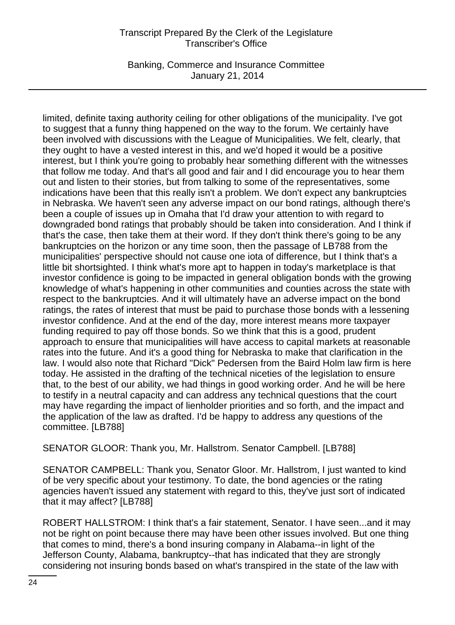Banking, Commerce and Insurance Committee January 21, 2014

limited, definite taxing authority ceiling for other obligations of the municipality. I've got to suggest that a funny thing happened on the way to the forum. We certainly have been involved with discussions with the League of Municipalities. We felt, clearly, that they ought to have a vested interest in this, and we'd hoped it would be a positive interest, but I think you're going to probably hear something different with the witnesses that follow me today. And that's all good and fair and I did encourage you to hear them out and listen to their stories, but from talking to some of the representatives, some indications have been that this really isn't a problem. We don't expect any bankruptcies in Nebraska. We haven't seen any adverse impact on our bond ratings, although there's been a couple of issues up in Omaha that I'd draw your attention to with regard to downgraded bond ratings that probably should be taken into consideration. And I think if that's the case, then take them at their word. If they don't think there's going to be any bankruptcies on the horizon or any time soon, then the passage of LB788 from the municipalities' perspective should not cause one iota of difference, but I think that's a little bit shortsighted. I think what's more apt to happen in today's marketplace is that investor confidence is going to be impacted in general obligation bonds with the growing knowledge of what's happening in other communities and counties across the state with respect to the bankruptcies. And it will ultimately have an adverse impact on the bond ratings, the rates of interest that must be paid to purchase those bonds with a lessening investor confidence. And at the end of the day, more interest means more taxpayer funding required to pay off those bonds. So we think that this is a good, prudent approach to ensure that municipalities will have access to capital markets at reasonable rates into the future. And it's a good thing for Nebraska to make that clarification in the law. I would also note that Richard "Dick" Pedersen from the Baird Holm law firm is here today. He assisted in the drafting of the technical niceties of the legislation to ensure that, to the best of our ability, we had things in good working order. And he will be here to testify in a neutral capacity and can address any technical questions that the court may have regarding the impact of lienholder priorities and so forth, and the impact and the application of the law as drafted. I'd be happy to address any questions of the committee. [LB788]

SENATOR GLOOR: Thank you, Mr. Hallstrom. Senator Campbell. [LB788]

SENATOR CAMPBELL: Thank you, Senator Gloor. Mr. Hallstrom, I just wanted to kind of be very specific about your testimony. To date, the bond agencies or the rating agencies haven't issued any statement with regard to this, they've just sort of indicated that it may affect? [LB788]

ROBERT HALLSTROM: I think that's a fair statement, Senator. I have seen...and it may not be right on point because there may have been other issues involved. But one thing that comes to mind, there's a bond insuring company in Alabama--in light of the Jefferson County, Alabama, bankruptcy--that has indicated that they are strongly considering not insuring bonds based on what's transpired in the state of the law with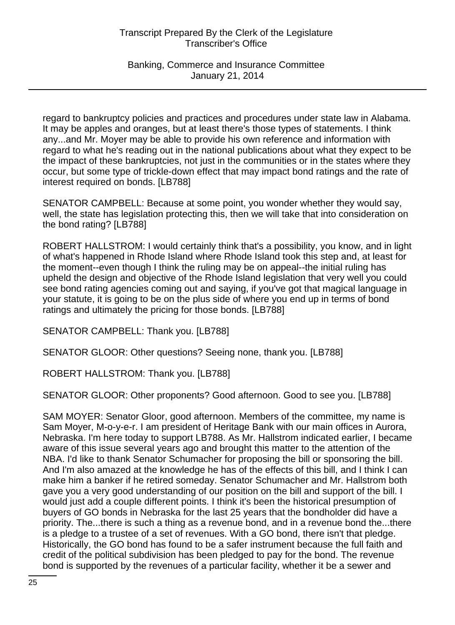Banking, Commerce and Insurance Committee January 21, 2014

regard to bankruptcy policies and practices and procedures under state law in Alabama. It may be apples and oranges, but at least there's those types of statements. I think any...and Mr. Moyer may be able to provide his own reference and information with regard to what he's reading out in the national publications about what they expect to be the impact of these bankruptcies, not just in the communities or in the states where they occur, but some type of trickle-down effect that may impact bond ratings and the rate of interest required on bonds. [LB788]

SENATOR CAMPBELL: Because at some point, you wonder whether they would say, well, the state has legislation protecting this, then we will take that into consideration on the bond rating? [LB788]

ROBERT HALLSTROM: I would certainly think that's a possibility, you know, and in light of what's happened in Rhode Island where Rhode Island took this step and, at least for the moment--even though I think the ruling may be on appeal--the initial ruling has upheld the design and objective of the Rhode Island legislation that very well you could see bond rating agencies coming out and saying, if you've got that magical language in your statute, it is going to be on the plus side of where you end up in terms of bond ratings and ultimately the pricing for those bonds. [LB788]

SENATOR CAMPBELL: Thank you. [LB788]

SENATOR GLOOR: Other questions? Seeing none, thank you. [LB788]

ROBERT HALLSTROM: Thank you. [LB788]

SENATOR GLOOR: Other proponents? Good afternoon. Good to see you. [LB788]

SAM MOYER: Senator Gloor, good afternoon. Members of the committee, my name is Sam Moyer, M-o-y-e-r. I am president of Heritage Bank with our main offices in Aurora, Nebraska. I'm here today to support LB788. As Mr. Hallstrom indicated earlier, I became aware of this issue several years ago and brought this matter to the attention of the NBA. I'd like to thank Senator Schumacher for proposing the bill or sponsoring the bill. And I'm also amazed at the knowledge he has of the effects of this bill, and I think I can make him a banker if he retired someday. Senator Schumacher and Mr. Hallstrom both gave you a very good understanding of our position on the bill and support of the bill. I would just add a couple different points. I think it's been the historical presumption of buyers of GO bonds in Nebraska for the last 25 years that the bondholder did have a priority. The...there is such a thing as a revenue bond, and in a revenue bond the...there is a pledge to a trustee of a set of revenues. With a GO bond, there isn't that pledge. Historically, the GO bond has found to be a safer instrument because the full faith and credit of the political subdivision has been pledged to pay for the bond. The revenue bond is supported by the revenues of a particular facility, whether it be a sewer and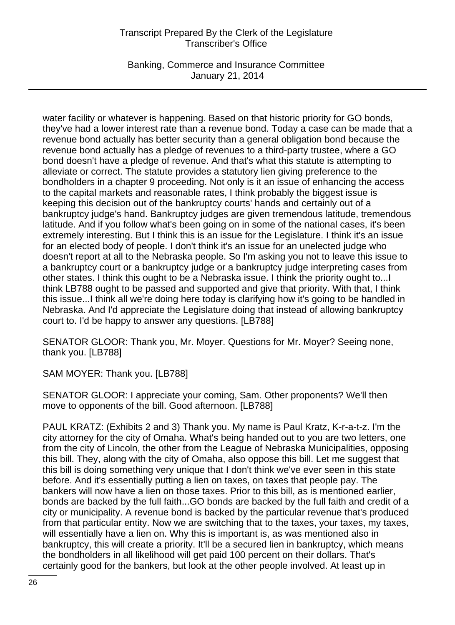Banking, Commerce and Insurance Committee January 21, 2014

water facility or whatever is happening. Based on that historic priority for GO bonds, they've had a lower interest rate than a revenue bond. Today a case can be made that a revenue bond actually has better security than a general obligation bond because the revenue bond actually has a pledge of revenues to a third-party trustee, where a GO bond doesn't have a pledge of revenue. And that's what this statute is attempting to alleviate or correct. The statute provides a statutory lien giving preference to the bondholders in a chapter 9 proceeding. Not only is it an issue of enhancing the access to the capital markets and reasonable rates, I think probably the biggest issue is keeping this decision out of the bankruptcy courts' hands and certainly out of a bankruptcy judge's hand. Bankruptcy judges are given tremendous latitude, tremendous latitude. And if you follow what's been going on in some of the national cases, it's been extremely interesting. But I think this is an issue for the Legislature. I think it's an issue for an elected body of people. I don't think it's an issue for an unelected judge who doesn't report at all to the Nebraska people. So I'm asking you not to leave this issue to a bankruptcy court or a bankruptcy judge or a bankruptcy judge interpreting cases from other states. I think this ought to be a Nebraska issue. I think the priority ought to...I think LB788 ought to be passed and supported and give that priority. With that, I think this issue...I think all we're doing here today is clarifying how it's going to be handled in Nebraska. And I'd appreciate the Legislature doing that instead of allowing bankruptcy court to. I'd be happy to answer any questions. [LB788]

SENATOR GLOOR: Thank you, Mr. Moyer. Questions for Mr. Moyer? Seeing none, thank you. [LB788]

SAM MOYER: Thank you. [LB788]

SENATOR GLOOR: I appreciate your coming, Sam. Other proponents? We'll then move to opponents of the bill. Good afternoon. [LB788]

PAUL KRATZ: (Exhibits 2 and 3) Thank you. My name is Paul Kratz, K-r-a-t-z. I'm the city attorney for the city of Omaha. What's being handed out to you are two letters, one from the city of Lincoln, the other from the League of Nebraska Municipalities, opposing this bill. They, along with the city of Omaha, also oppose this bill. Let me suggest that this bill is doing something very unique that I don't think we've ever seen in this state before. And it's essentially putting a lien on taxes, on taxes that people pay. The bankers will now have a lien on those taxes. Prior to this bill, as is mentioned earlier, bonds are backed by the full faith...GO bonds are backed by the full faith and credit of a city or municipality. A revenue bond is backed by the particular revenue that's produced from that particular entity. Now we are switching that to the taxes, your taxes, my taxes, will essentially have a lien on. Why this is important is, as was mentioned also in bankruptcy, this will create a priority. It'll be a secured lien in bankruptcy, which means the bondholders in all likelihood will get paid 100 percent on their dollars. That's certainly good for the bankers, but look at the other people involved. At least up in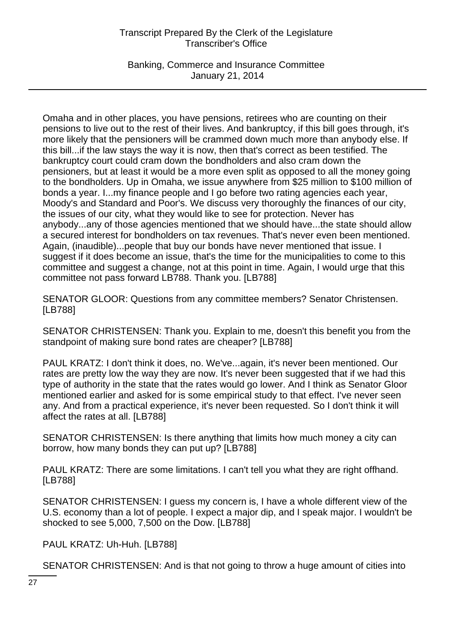Banking, Commerce and Insurance Committee January 21, 2014

Omaha and in other places, you have pensions, retirees who are counting on their pensions to live out to the rest of their lives. And bankruptcy, if this bill goes through, it's more likely that the pensioners will be crammed down much more than anybody else. If this bill...if the law stays the way it is now, then that's correct as been testified. The bankruptcy court could cram down the bondholders and also cram down the pensioners, but at least it would be a more even split as opposed to all the money going to the bondholders. Up in Omaha, we issue anywhere from \$25 million to \$100 million of bonds a year. I...my finance people and I go before two rating agencies each year, Moody's and Standard and Poor's. We discuss very thoroughly the finances of our city, the issues of our city, what they would like to see for protection. Never has anybody...any of those agencies mentioned that we should have...the state should allow a secured interest for bondholders on tax revenues. That's never even been mentioned. Again, (inaudible)...people that buy our bonds have never mentioned that issue. I suggest if it does become an issue, that's the time for the municipalities to come to this committee and suggest a change, not at this point in time. Again, I would urge that this committee not pass forward LB788. Thank you. [LB788]

SENATOR GLOOR: Questions from any committee members? Senator Christensen. [LB788]

SENATOR CHRISTENSEN: Thank you. Explain to me, doesn't this benefit you from the standpoint of making sure bond rates are cheaper? [LB788]

PAUL KRATZ: I don't think it does, no. We've...again, it's never been mentioned. Our rates are pretty low the way they are now. It's never been suggested that if we had this type of authority in the state that the rates would go lower. And I think as Senator Gloor mentioned earlier and asked for is some empirical study to that effect. I've never seen any. And from a practical experience, it's never been requested. So I don't think it will affect the rates at all. [LB788]

SENATOR CHRISTENSEN: Is there anything that limits how much money a city can borrow, how many bonds they can put up? [LB788]

PAUL KRATZ: There are some limitations. I can't tell you what they are right offhand. [LB788]

SENATOR CHRISTENSEN: I guess my concern is, I have a whole different view of the U.S. economy than a lot of people. I expect a major dip, and I speak major. I wouldn't be shocked to see 5,000, 7,500 on the Dow. [LB788]

PAUL KRATZ: Uh-Huh. [LB788]

SENATOR CHRISTENSEN: And is that not going to throw a huge amount of cities into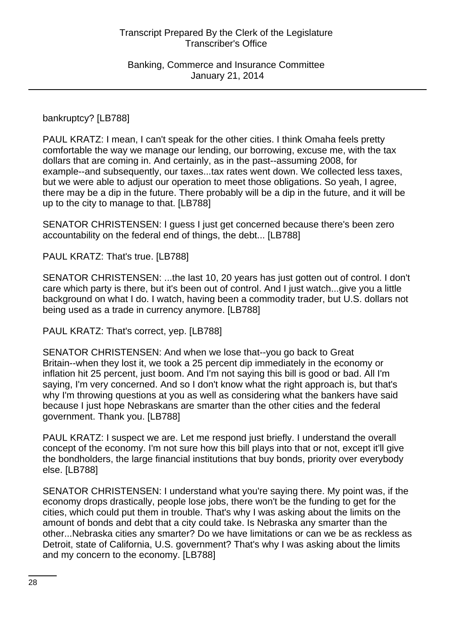### bankruptcy? [LB788]

PAUL KRATZ: I mean, I can't speak for the other cities. I think Omaha feels pretty comfortable the way we manage our lending, our borrowing, excuse me, with the tax dollars that are coming in. And certainly, as in the past--assuming 2008, for example--and subsequently, our taxes...tax rates went down. We collected less taxes, but we were able to adjust our operation to meet those obligations. So yeah, I agree, there may be a dip in the future. There probably will be a dip in the future, and it will be up to the city to manage to that. [LB788]

SENATOR CHRISTENSEN: I guess I just get concerned because there's been zero accountability on the federal end of things, the debt... [LB788]

PAUL KRATZ: That's true. [LB788]

SENATOR CHRISTENSEN: ...the last 10, 20 years has just gotten out of control. I don't care which party is there, but it's been out of control. And I just watch...give you a little background on what I do. I watch, having been a commodity trader, but U.S. dollars not being used as a trade in currency anymore. [LB788]

PAUL KRATZ: That's correct, yep. [LB788]

SENATOR CHRISTENSEN: And when we lose that--you go back to Great Britain--when they lost it, we took a 25 percent dip immediately in the economy or inflation hit 25 percent, just boom. And I'm not saying this bill is good or bad. All I'm saying, I'm very concerned. And so I don't know what the right approach is, but that's why I'm throwing questions at you as well as considering what the bankers have said because I just hope Nebraskans are smarter than the other cities and the federal government. Thank you. [LB788]

PAUL KRATZ: I suspect we are. Let me respond just briefly. I understand the overall concept of the economy. I'm not sure how this bill plays into that or not, except it'll give the bondholders, the large financial institutions that buy bonds, priority over everybody else. [LB788]

SENATOR CHRISTENSEN: I understand what you're saying there. My point was, if the economy drops drastically, people lose jobs, there won't be the funding to get for the cities, which could put them in trouble. That's why I was asking about the limits on the amount of bonds and debt that a city could take. Is Nebraska any smarter than the other...Nebraska cities any smarter? Do we have limitations or can we be as reckless as Detroit, state of California, U.S. government? That's why I was asking about the limits and my concern to the economy. [LB788]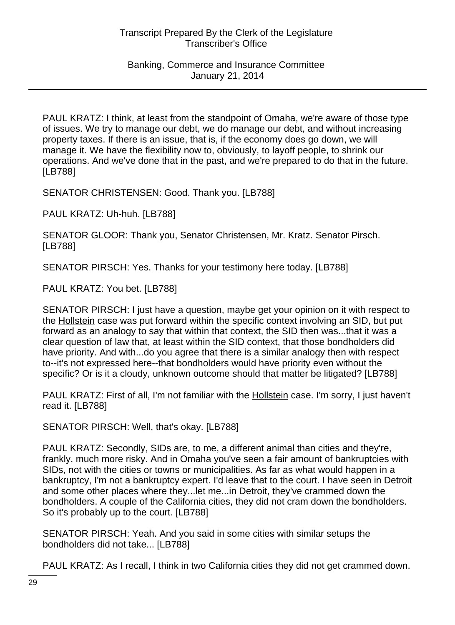PAUL KRATZ: I think, at least from the standpoint of Omaha, we're aware of those type of issues. We try to manage our debt, we do manage our debt, and without increasing property taxes. If there is an issue, that is, if the economy does go down, we will manage it. We have the flexibility now to, obviously, to layoff people, to shrink our operations. And we've done that in the past, and we're prepared to do that in the future. [LB788]

SENATOR CHRISTENSEN: Good. Thank you. [LB788]

PAUL KRATZ: Uh-huh. [LB788]

SENATOR GLOOR: Thank you, Senator Christensen, Mr. Kratz. Senator Pirsch. [LB788]

SENATOR PIRSCH: Yes. Thanks for your testimony here today. [LB788]

PAUL KRATZ: You bet. [LB788]

SENATOR PIRSCH: I just have a question, maybe get your opinion on it with respect to the Hollstein case was put forward within the specific context involving an SID, but put forward as an analogy to say that within that context, the SID then was...that it was a clear question of law that, at least within the SID context, that those bondholders did have priority. And with...do you agree that there is a similar analogy then with respect to--it's not expressed here--that bondholders would have priority even without the specific? Or is it a cloudy, unknown outcome should that matter be litigated? [LB788]

PAUL KRATZ: First of all, I'm not familiar with the Hollstein case. I'm sorry, I just haven't read it. [LB788]

SENATOR PIRSCH: Well, that's okay. [LB788]

PAUL KRATZ: Secondly, SIDs are, to me, a different animal than cities and they're, frankly, much more risky. And in Omaha you've seen a fair amount of bankruptcies with SIDs, not with the cities or towns or municipalities. As far as what would happen in a bankruptcy, I'm not a bankruptcy expert. I'd leave that to the court. I have seen in Detroit and some other places where they...let me...in Detroit, they've crammed down the bondholders. A couple of the California cities, they did not cram down the bondholders. So it's probably up to the court. [LB788]

SENATOR PIRSCH: Yeah. And you said in some cities with similar setups the bondholders did not take... [LB788]

PAUL KRATZ: As I recall, I think in two California cities they did not get crammed down.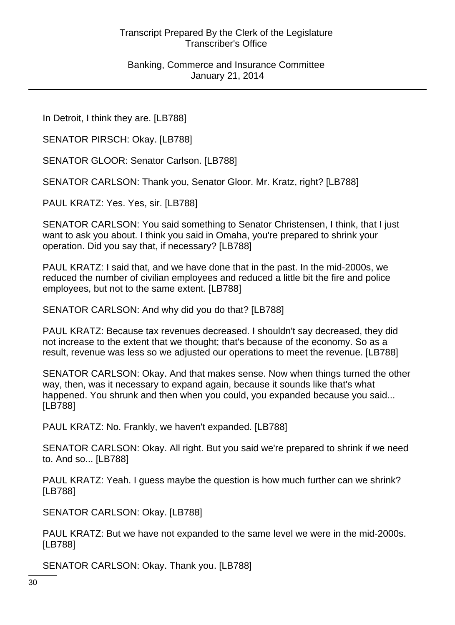In Detroit, I think they are. [LB788]

SENATOR PIRSCH: Okay. [LB788]

SENATOR GLOOR: Senator Carlson. [LB788]

SENATOR CARLSON: Thank you, Senator Gloor. Mr. Kratz, right? [LB788]

PAUL KRATZ: Yes. Yes, sir. [LB788]

SENATOR CARLSON: You said something to Senator Christensen, I think, that I just want to ask you about. I think you said in Omaha, you're prepared to shrink your operation. Did you say that, if necessary? [LB788]

PAUL KRATZ: I said that, and we have done that in the past. In the mid-2000s, we reduced the number of civilian employees and reduced a little bit the fire and police employees, but not to the same extent. [LB788]

SENATOR CARLSON: And why did you do that? [LB788]

PAUL KRATZ: Because tax revenues decreased. I shouldn't say decreased, they did not increase to the extent that we thought; that's because of the economy. So as a result, revenue was less so we adjusted our operations to meet the revenue. [LB788]

SENATOR CARLSON: Okay. And that makes sense. Now when things turned the other way, then, was it necessary to expand again, because it sounds like that's what happened. You shrunk and then when you could, you expanded because you said... [LB788]

PAUL KRATZ: No. Frankly, we haven't expanded. [LB788]

SENATOR CARLSON: Okay. All right. But you said we're prepared to shrink if we need to. And so... [LB788]

PAUL KRATZ: Yeah. I guess maybe the question is how much further can we shrink? [LB788]

SENATOR CARLSON: Okay. [LB788]

PAUL KRATZ: But we have not expanded to the same level we were in the mid-2000s. [LB788]

SENATOR CARLSON: Okay. Thank you. [LB788]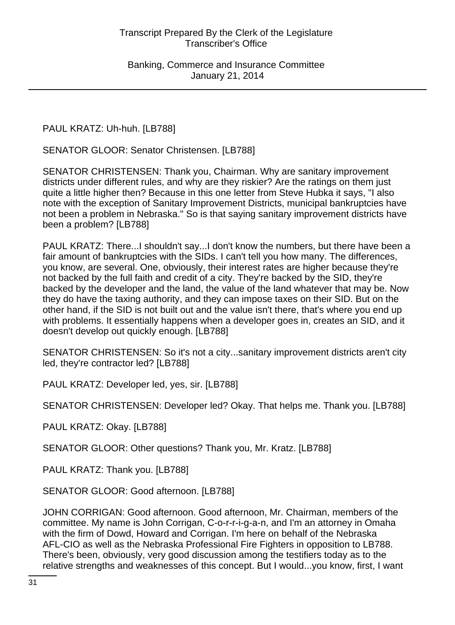PAUL KRATZ: Uh-huh. [LB788]

SENATOR GLOOR: Senator Christensen. [LB788]

SENATOR CHRISTENSEN: Thank you, Chairman. Why are sanitary improvement districts under different rules, and why are they riskier? Are the ratings on them just quite a little higher then? Because in this one letter from Steve Hubka it says, "I also note with the exception of Sanitary Improvement Districts, municipal bankruptcies have not been a problem in Nebraska." So is that saying sanitary improvement districts have been a problem? [LB788]

PAUL KRATZ: There...I shouldn't say...I don't know the numbers, but there have been a fair amount of bankruptcies with the SIDs. I can't tell you how many. The differences, you know, are several. One, obviously, their interest rates are higher because they're not backed by the full faith and credit of a city. They're backed by the SID, they're backed by the developer and the land, the value of the land whatever that may be. Now they do have the taxing authority, and they can impose taxes on their SID. But on the other hand, if the SID is not built out and the value isn't there, that's where you end up with problems. It essentially happens when a developer goes in, creates an SID, and it doesn't develop out quickly enough. [LB788]

SENATOR CHRISTENSEN: So it's not a city...sanitary improvement districts aren't city led, they're contractor led? [LB788]

PAUL KRATZ: Developer led, yes, sir. [LB788]

SENATOR CHRISTENSEN: Developer led? Okay. That helps me. Thank you. [LB788]

PAUL KRATZ: Okay. [LB788]

SENATOR GLOOR: Other questions? Thank you, Mr. Kratz. [LB788]

PAUL KRATZ: Thank you. [LB788]

SENATOR GLOOR: Good afternoon. [LB788]

JOHN CORRIGAN: Good afternoon. Good afternoon, Mr. Chairman, members of the committee. My name is John Corrigan, C-o-r-r-i-g-a-n, and I'm an attorney in Omaha with the firm of Dowd, Howard and Corrigan. I'm here on behalf of the Nebraska AFL-CIO as well as the Nebraska Professional Fire Fighters in opposition to LB788. There's been, obviously, very good discussion among the testifiers today as to the relative strengths and weaknesses of this concept. But I would...you know, first, I want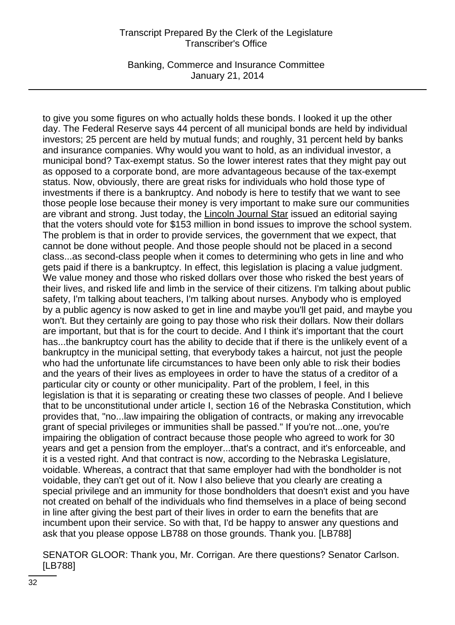Banking, Commerce and Insurance Committee January 21, 2014

to give you some figures on who actually holds these bonds. I looked it up the other day. The Federal Reserve says 44 percent of all municipal bonds are held by individual investors; 25 percent are held by mutual funds; and roughly, 31 percent held by banks and insurance companies. Why would you want to hold, as an individual investor, a municipal bond? Tax-exempt status. So the lower interest rates that they might pay out as opposed to a corporate bond, are more advantageous because of the tax-exempt status. Now, obviously, there are great risks for individuals who hold those type of investments if there is a bankruptcy. And nobody is here to testify that we want to see those people lose because their money is very important to make sure our communities are vibrant and strong. Just today, the Lincoln Journal Star issued an editorial saying that the voters should vote for \$153 million in bond issues to improve the school system. The problem is that in order to provide services, the government that we expect, that cannot be done without people. And those people should not be placed in a second class...as second-class people when it comes to determining who gets in line and who gets paid if there is a bankruptcy. In effect, this legislation is placing a value judgment. We value money and those who risked dollars over those who risked the best years of their lives, and risked life and limb in the service of their citizens. I'm talking about public safety, I'm talking about teachers, I'm talking about nurses. Anybody who is employed by a public agency is now asked to get in line and maybe you'll get paid, and maybe you won't. But they certainly are going to pay those who risk their dollars. Now their dollars are important, but that is for the court to decide. And I think it's important that the court has...the bankruptcy court has the ability to decide that if there is the unlikely event of a bankruptcy in the municipal setting, that everybody takes a haircut, not just the people who had the unfortunate life circumstances to have been only able to risk their bodies and the years of their lives as employees in order to have the status of a creditor of a particular city or county or other municipality. Part of the problem, I feel, in this legislation is that it is separating or creating these two classes of people. And I believe that to be unconstitutional under article I, section 16 of the Nebraska Constitution, which provides that, "no...law impairing the obligation of contracts, or making any irrevocable grant of special privileges or immunities shall be passed." If you're not...one, you're impairing the obligation of contract because those people who agreed to work for 30 years and get a pension from the employer...that's a contract, and it's enforceable, and it is a vested right. And that contract is now, according to the Nebraska Legislature, voidable. Whereas, a contract that that same employer had with the bondholder is not voidable, they can't get out of it. Now I also believe that you clearly are creating a special privilege and an immunity for those bondholders that doesn't exist and you have not created on behalf of the individuals who find themselves in a place of being second in line after giving the best part of their lives in order to earn the benefits that are incumbent upon their service. So with that, I'd be happy to answer any questions and ask that you please oppose LB788 on those grounds. Thank you. [LB788]

SENATOR GLOOR: Thank you, Mr. Corrigan. Are there questions? Senator Carlson. [LB788]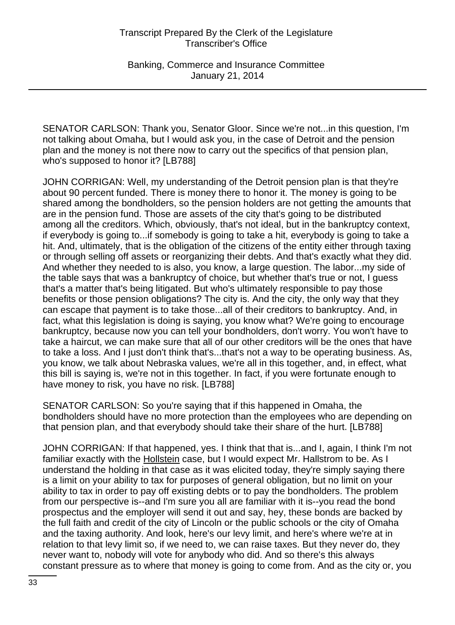Banking, Commerce and Insurance Committee January 21, 2014

SENATOR CARLSON: Thank you, Senator Gloor. Since we're not...in this question, I'm not talking about Omaha, but I would ask you, in the case of Detroit and the pension plan and the money is not there now to carry out the specifics of that pension plan, who's supposed to honor it? [LB788]

JOHN CORRIGAN: Well, my understanding of the Detroit pension plan is that they're about 90 percent funded. There is money there to honor it. The money is going to be shared among the bondholders, so the pension holders are not getting the amounts that are in the pension fund. Those are assets of the city that's going to be distributed among all the creditors. Which, obviously, that's not ideal, but in the bankruptcy context, if everybody is going to...if somebody is going to take a hit, everybody is going to take a hit. And, ultimately, that is the obligation of the citizens of the entity either through taxing or through selling off assets or reorganizing their debts. And that's exactly what they did. And whether they needed to is also, you know, a large question. The labor...my side of the table says that was a bankruptcy of choice, but whether that's true or not, I guess that's a matter that's being litigated. But who's ultimately responsible to pay those benefits or those pension obligations? The city is. And the city, the only way that they can escape that payment is to take those...all of their creditors to bankruptcy. And, in fact, what this legislation is doing is saying, you know what? We're going to encourage bankruptcy, because now you can tell your bondholders, don't worry. You won't have to take a haircut, we can make sure that all of our other creditors will be the ones that have to take a loss. And I just don't think that's...that's not a way to be operating business. As, you know, we talk about Nebraska values, we're all in this together, and, in effect, what this bill is saying is, we're not in this together. In fact, if you were fortunate enough to have money to risk, you have no risk. [LB788]

SENATOR CARLSON: So you're saying that if this happened in Omaha, the bondholders should have no more protection than the employees who are depending on that pension plan, and that everybody should take their share of the hurt. [LB788]

JOHN CORRIGAN: If that happened, yes. I think that that is...and I, again, I think I'm not familiar exactly with the Hollstein case, but I would expect Mr. Hallstrom to be. As I understand the holding in that case as it was elicited today, they're simply saying there is a limit on your ability to tax for purposes of general obligation, but no limit on your ability to tax in order to pay off existing debts or to pay the bondholders. The problem from our perspective is--and I'm sure you all are familiar with it is--you read the bond prospectus and the employer will send it out and say, hey, these bonds are backed by the full faith and credit of the city of Lincoln or the public schools or the city of Omaha and the taxing authority. And look, here's our levy limit, and here's where we're at in relation to that levy limit so, if we need to, we can raise taxes. But they never do, they never want to, nobody will vote for anybody who did. And so there's this always constant pressure as to where that money is going to come from. And as the city or, you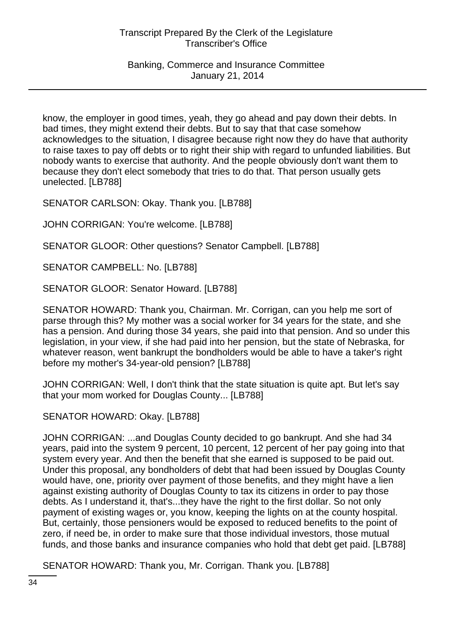Banking, Commerce and Insurance Committee January 21, 2014

know, the employer in good times, yeah, they go ahead and pay down their debts. In bad times, they might extend their debts. But to say that that case somehow acknowledges to the situation, I disagree because right now they do have that authority to raise taxes to pay off debts or to right their ship with regard to unfunded liabilities. But nobody wants to exercise that authority. And the people obviously don't want them to because they don't elect somebody that tries to do that. That person usually gets unelected. [LB788]

SENATOR CARLSON: Okay. Thank you. [LB788]

JOHN CORRIGAN: You're welcome. [LB788]

SENATOR GLOOR: Other questions? Senator Campbell. [LB788]

SENATOR CAMPBELL: No. [LB788]

SENATOR GLOOR: Senator Howard. [LB788]

SENATOR HOWARD: Thank you, Chairman. Mr. Corrigan, can you help me sort of parse through this? My mother was a social worker for 34 years for the state, and she has a pension. And during those 34 years, she paid into that pension. And so under this legislation, in your view, if she had paid into her pension, but the state of Nebraska, for whatever reason, went bankrupt the bondholders would be able to have a taker's right before my mother's 34-year-old pension? [LB788]

JOHN CORRIGAN: Well, I don't think that the state situation is quite apt. But let's say that your mom worked for Douglas County... [LB788]

SENATOR HOWARD: Okay. [LB788]

JOHN CORRIGAN: ...and Douglas County decided to go bankrupt. And she had 34 years, paid into the system 9 percent, 10 percent, 12 percent of her pay going into that system every year. And then the benefit that she earned is supposed to be paid out. Under this proposal, any bondholders of debt that had been issued by Douglas County would have, one, priority over payment of those benefits, and they might have a lien against existing authority of Douglas County to tax its citizens in order to pay those debts. As I understand it, that's...they have the right to the first dollar. So not only payment of existing wages or, you know, keeping the lights on at the county hospital. But, certainly, those pensioners would be exposed to reduced benefits to the point of zero, if need be, in order to make sure that those individual investors, those mutual funds, and those banks and insurance companies who hold that debt get paid. [LB788]

SENATOR HOWARD: Thank you, Mr. Corrigan. Thank you. [LB788]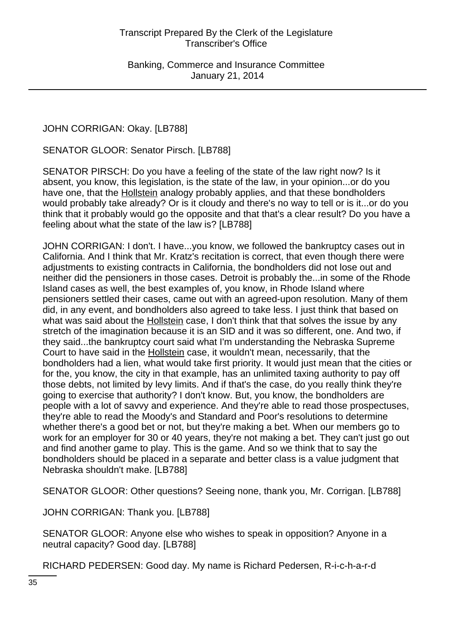JOHN CORRIGAN: Okay. [LB788]

SENATOR GLOOR: Senator Pirsch. [LB788]

SENATOR PIRSCH: Do you have a feeling of the state of the law right now? Is it absent, you know, this legislation, is the state of the law, in your opinion...or do you have one, that the Hollstein analogy probably applies, and that these bondholders would probably take already? Or is it cloudy and there's no way to tell or is it...or do you think that it probably would go the opposite and that that's a clear result? Do you have a feeling about what the state of the law is? [LB788]

JOHN CORRIGAN: I don't. I have...you know, we followed the bankruptcy cases out in California. And I think that Mr. Kratz's recitation is correct, that even though there were adjustments to existing contracts in California, the bondholders did not lose out and neither did the pensioners in those cases. Detroit is probably the...in some of the Rhode Island cases as well, the best examples of, you know, in Rhode Island where pensioners settled their cases, came out with an agreed-upon resolution. Many of them did, in any event, and bondholders also agreed to take less. I just think that based on what was said about the Hollstein case, I don't think that that solves the issue by any stretch of the imagination because it is an SID and it was so different, one. And two, if they said...the bankruptcy court said what I'm understanding the Nebraska Supreme Court to have said in the Hollstein case, it wouldn't mean, necessarily, that the bondholders had a lien, what would take first priority. It would just mean that the cities or for the, you know, the city in that example, has an unlimited taxing authority to pay off those debts, not limited by levy limits. And if that's the case, do you really think they're going to exercise that authority? I don't know. But, you know, the bondholders are people with a lot of savvy and experience. And they're able to read those prospectuses, they're able to read the Moody's and Standard and Poor's resolutions to determine whether there's a good bet or not, but they're making a bet. When our members go to work for an employer for 30 or 40 years, they're not making a bet. They can't just go out and find another game to play. This is the game. And so we think that to say the bondholders should be placed in a separate and better class is a value judgment that Nebraska shouldn't make. [LB788]

SENATOR GLOOR: Other questions? Seeing none, thank you, Mr. Corrigan. [LB788]

JOHN CORRIGAN: Thank you. [LB788]

SENATOR GLOOR: Anyone else who wishes to speak in opposition? Anyone in a neutral capacity? Good day. [LB788]

RICHARD PEDERSEN: Good day. My name is Richard Pedersen, R-i-c-h-a-r-d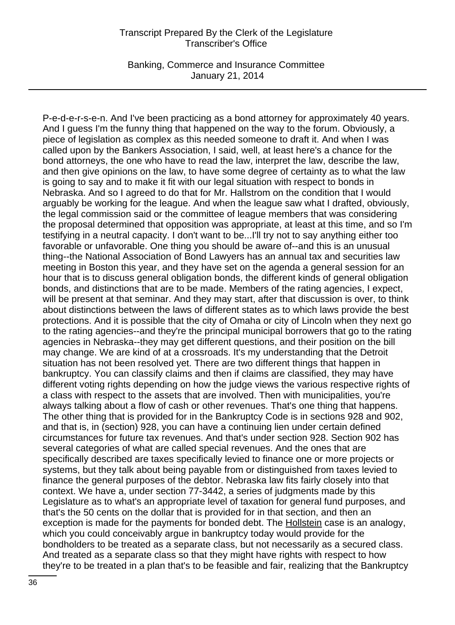Banking, Commerce and Insurance Committee January 21, 2014

P-e-d-e-r-s-e-n. And I've been practicing as a bond attorney for approximately 40 years. And I guess I'm the funny thing that happened on the way to the forum. Obviously, a piece of legislation as complex as this needed someone to draft it. And when I was called upon by the Bankers Association, I said, well, at least here's a chance for the bond attorneys, the one who have to read the law, interpret the law, describe the law, and then give opinions on the law, to have some degree of certainty as to what the law is going to say and to make it fit with our legal situation with respect to bonds in Nebraska. And so I agreed to do that for Mr. Hallstrom on the condition that I would arguably be working for the league. And when the league saw what I drafted, obviously, the legal commission said or the committee of league members that was considering the proposal determined that opposition was appropriate, at least at this time, and so I'm testifying in a neutral capacity. I don't want to be...I'll try not to say anything either too favorable or unfavorable. One thing you should be aware of--and this is an unusual thing--the National Association of Bond Lawyers has an annual tax and securities law meeting in Boston this year, and they have set on the agenda a general session for an hour that is to discuss general obligation bonds, the different kinds of general obligation bonds, and distinctions that are to be made. Members of the rating agencies, I expect, will be present at that seminar. And they may start, after that discussion is over, to think about distinctions between the laws of different states as to which laws provide the best protections. And it is possible that the city of Omaha or city of Lincoln when they next go to the rating agencies--and they're the principal municipal borrowers that go to the rating agencies in Nebraska--they may get different questions, and their position on the bill may change. We are kind of at a crossroads. It's my understanding that the Detroit situation has not been resolved yet. There are two different things that happen in bankruptcy. You can classify claims and then if claims are classified, they may have different voting rights depending on how the judge views the various respective rights of a class with respect to the assets that are involved. Then with municipalities, you're always talking about a flow of cash or other revenues. That's one thing that happens. The other thing that is provided for in the Bankruptcy Code is in sections 928 and 902, and that is, in (section) 928, you can have a continuing lien under certain defined circumstances for future tax revenues. And that's under section 928. Section 902 has several categories of what are called special revenues. And the ones that are specifically described are taxes specifically levied to finance one or more projects or systems, but they talk about being payable from or distinguished from taxes levied to finance the general purposes of the debtor. Nebraska law fits fairly closely into that context. We have a, under section 77-3442, a series of judgments made by this Legislature as to what's an appropriate level of taxation for general fund purposes, and that's the 50 cents on the dollar that is provided for in that section, and then an exception is made for the payments for bonded debt. The Hollstein case is an analogy, which you could conceivably argue in bankruptcy today would provide for the bondholders to be treated as a separate class, but not necessarily as a secured class. And treated as a separate class so that they might have rights with respect to how they're to be treated in a plan that's to be feasible and fair, realizing that the Bankruptcy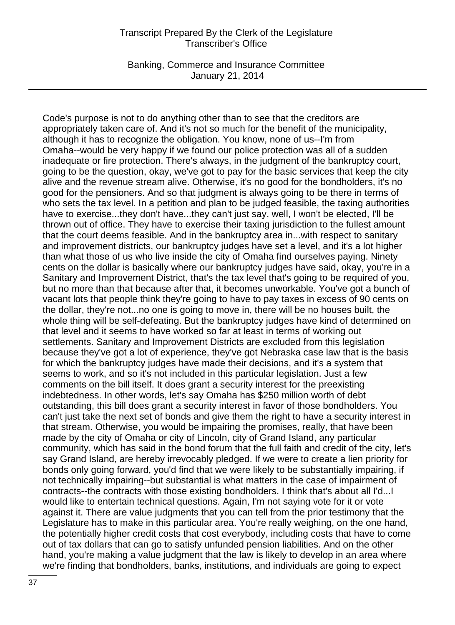Banking, Commerce and Insurance Committee January 21, 2014

Code's purpose is not to do anything other than to see that the creditors are appropriately taken care of. And it's not so much for the benefit of the municipality, although it has to recognize the obligation. You know, none of us--I'm from Omaha--would be very happy if we found our police protection was all of a sudden inadequate or fire protection. There's always, in the judgment of the bankruptcy court, going to be the question, okay, we've got to pay for the basic services that keep the city alive and the revenue stream alive. Otherwise, it's no good for the bondholders, it's no good for the pensioners. And so that judgment is always going to be there in terms of who sets the tax level. In a petition and plan to be judged feasible, the taxing authorities have to exercise...they don't have...they can't just say, well, I won't be elected, I'll be thrown out of office. They have to exercise their taxing jurisdiction to the fullest amount that the court deems feasible. And in the bankruptcy area in...with respect to sanitary and improvement districts, our bankruptcy judges have set a level, and it's a lot higher than what those of us who live inside the city of Omaha find ourselves paying. Ninety cents on the dollar is basically where our bankruptcy judges have said, okay, you're in a Sanitary and Improvement District, that's the tax level that's going to be required of you, but no more than that because after that, it becomes unworkable. You've got a bunch of vacant lots that people think they're going to have to pay taxes in excess of 90 cents on the dollar, they're not...no one is going to move in, there will be no houses built, the whole thing will be self-defeating. But the bankruptcy judges have kind of determined on that level and it seems to have worked so far at least in terms of working out settlements. Sanitary and Improvement Districts are excluded from this legislation because they've got a lot of experience, they've got Nebraska case law that is the basis for which the bankruptcy judges have made their decisions, and it's a system that seems to work, and so it's not included in this particular legislation. Just a few comments on the bill itself. It does grant a security interest for the preexisting indebtedness. In other words, let's say Omaha has \$250 million worth of debt outstanding, this bill does grant a security interest in favor of those bondholders. You can't just take the next set of bonds and give them the right to have a security interest in that stream. Otherwise, you would be impairing the promises, really, that have been made by the city of Omaha or city of Lincoln, city of Grand Island, any particular community, which has said in the bond forum that the full faith and credit of the city, let's say Grand Island, are hereby irrevocably pledged. If we were to create a lien priority for bonds only going forward, you'd find that we were likely to be substantially impairing, if not technically impairing--but substantial is what matters in the case of impairment of contracts--the contracts with those existing bondholders. I think that's about all I'd...I would like to entertain technical questions. Again, I'm not saying vote for it or vote against it. There are value judgments that you can tell from the prior testimony that the Legislature has to make in this particular area. You're really weighing, on the one hand, the potentially higher credit costs that cost everybody, including costs that have to come out of tax dollars that can go to satisfy unfunded pension liabilities. And on the other hand, you're making a value judgment that the law is likely to develop in an area where we're finding that bondholders, banks, institutions, and individuals are going to expect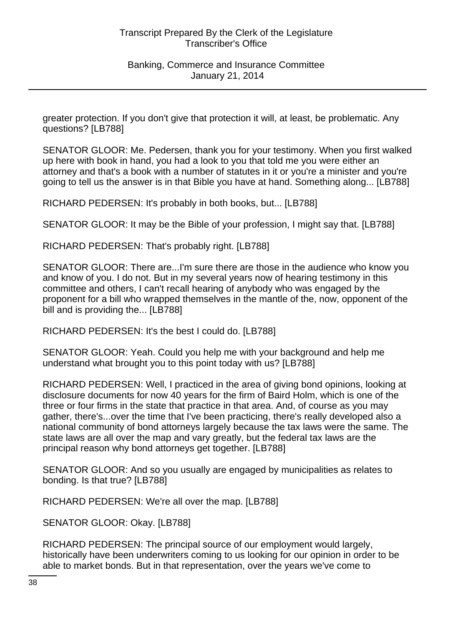greater protection. If you don't give that protection it will, at least, be problematic. Any questions? [LB788]

SENATOR GLOOR: Me. Pedersen, thank you for your testimony. When you first walked up here with book in hand, you had a look to you that told me you were either an attorney and that's a book with a number of statutes in it or you're a minister and you're going to tell us the answer is in that Bible you have at hand. Something along... [LB788]

RICHARD PEDERSEN: It's probably in both books, but... [LB788]

SENATOR GLOOR: It may be the Bible of your profession, I might say that. [LB788]

RICHARD PEDERSEN: That's probably right. [LB788]

SENATOR GLOOR: There are...I'm sure there are those in the audience who know you and know of you. I do not. But in my several years now of hearing testimony in this committee and others, I can't recall hearing of anybody who was engaged by the proponent for a bill who wrapped themselves in the mantle of the, now, opponent of the bill and is providing the... [LB788]

RICHARD PEDERSEN: It's the best I could do. [LB788]

SENATOR GLOOR: Yeah. Could you help me with your background and help me understand what brought you to this point today with us? [LB788]

RICHARD PEDERSEN: Well, I practiced in the area of giving bond opinions, looking at disclosure documents for now 40 years for the firm of Baird Holm, which is one of the three or four firms in the state that practice in that area. And, of course as you may gather, there's...over the time that I've been practicing, there's really developed also a national community of bond attorneys largely because the tax laws were the same. The state laws are all over the map and vary greatly, but the federal tax laws are the principal reason why bond attorneys get together. [LB788]

SENATOR GLOOR: And so you usually are engaged by municipalities as relates to bonding. Is that true? [LB788]

RICHARD PEDERSEN: We're all over the map. [LB788]

SENATOR GLOOR: Okay. [LB788]

RICHARD PEDERSEN: The principal source of our employment would largely, historically have been underwriters coming to us looking for our opinion in order to be able to market bonds. But in that representation, over the years we've come to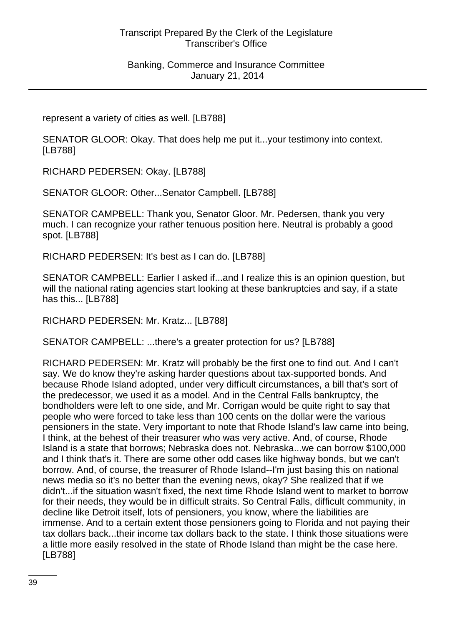represent a variety of cities as well. [LB788]

SENATOR GLOOR: Okay. That does help me put it...your testimony into context. [LB788]

RICHARD PEDERSEN: Okay. [LB788]

SENATOR GLOOR: Other...Senator Campbell. [LB788]

SENATOR CAMPBELL: Thank you, Senator Gloor. Mr. Pedersen, thank you very much. I can recognize your rather tenuous position here. Neutral is probably a good spot. [LB788]

RICHARD PEDERSEN: It's best as I can do. [LB788]

SENATOR CAMPBELL: Earlier I asked if...and I realize this is an opinion question, but will the national rating agencies start looking at these bankruptcies and say, if a state has this... [LB788]

RICHARD PEDERSEN: Mr. Kratz... [LB788]

SENATOR CAMPBELL: ...there's a greater protection for us? [LB788]

RICHARD PEDERSEN: Mr. Kratz will probably be the first one to find out. And I can't say. We do know they're asking harder questions about tax-supported bonds. And because Rhode Island adopted, under very difficult circumstances, a bill that's sort of the predecessor, we used it as a model. And in the Central Falls bankruptcy, the bondholders were left to one side, and Mr. Corrigan would be quite right to say that people who were forced to take less than 100 cents on the dollar were the various pensioners in the state. Very important to note that Rhode Island's law came into being, I think, at the behest of their treasurer who was very active. And, of course, Rhode Island is a state that borrows; Nebraska does not. Nebraska...we can borrow \$100,000 and I think that's it. There are some other odd cases like highway bonds, but we can't borrow. And, of course, the treasurer of Rhode Island--I'm just basing this on national news media so it's no better than the evening news, okay? She realized that if we didn't...if the situation wasn't fixed, the next time Rhode Island went to market to borrow for their needs, they would be in difficult straits. So Central Falls, difficult community, in decline like Detroit itself, lots of pensioners, you know, where the liabilities are immense. And to a certain extent those pensioners going to Florida and not paying their tax dollars back...their income tax dollars back to the state. I think those situations were a little more easily resolved in the state of Rhode Island than might be the case here. [LB788]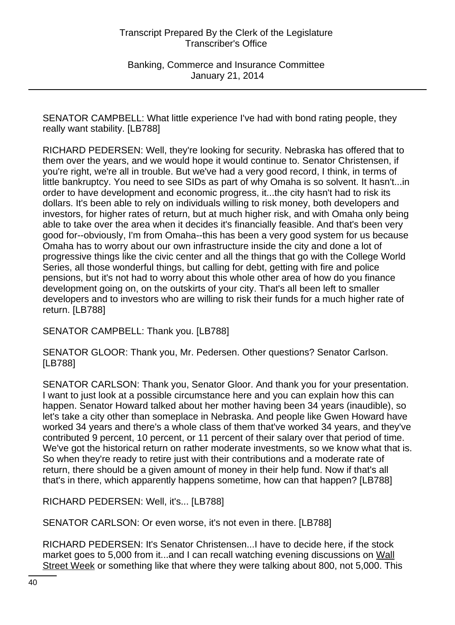SENATOR CAMPBELL: What little experience I've had with bond rating people, they really want stability. [LB788]

RICHARD PEDERSEN: Well, they're looking for security. Nebraska has offered that to them over the years, and we would hope it would continue to. Senator Christensen, if you're right, we're all in trouble. But we've had a very good record, I think, in terms of little bankruptcy. You need to see SIDs as part of why Omaha is so solvent. It hasn't...in order to have development and economic progress, it...the city hasn't had to risk its dollars. It's been able to rely on individuals willing to risk money, both developers and investors, for higher rates of return, but at much higher risk, and with Omaha only being able to take over the area when it decides it's financially feasible. And that's been very good for--obviously, I'm from Omaha--this has been a very good system for us because Omaha has to worry about our own infrastructure inside the city and done a lot of progressive things like the civic center and all the things that go with the College World Series, all those wonderful things, but calling for debt, getting with fire and police pensions, but it's not had to worry about this whole other area of how do you finance development going on, on the outskirts of your city. That's all been left to smaller developers and to investors who are willing to risk their funds for a much higher rate of return. [LB788]

SENATOR CAMPBELL: Thank you. [LB788]

SENATOR GLOOR: Thank you, Mr. Pedersen. Other questions? Senator Carlson. [LB788]

SENATOR CARLSON: Thank you, Senator Gloor. And thank you for your presentation. I want to just look at a possible circumstance here and you can explain how this can happen. Senator Howard talked about her mother having been 34 years (inaudible), so let's take a city other than someplace in Nebraska. And people like Gwen Howard have worked 34 years and there's a whole class of them that've worked 34 years, and they've contributed 9 percent, 10 percent, or 11 percent of their salary over that period of time. We've got the historical return on rather moderate investments, so we know what that is. So when they're ready to retire just with their contributions and a moderate rate of return, there should be a given amount of money in their help fund. Now if that's all that's in there, which apparently happens sometime, how can that happen? [LB788]

RICHARD PEDERSEN: Well, it's... [LB788]

SENATOR CARLSON: Or even worse, it's not even in there. [LB788]

RICHARD PEDERSEN: It's Senator Christensen...I have to decide here, if the stock market goes to 5,000 from it...and I can recall watching evening discussions on Wall Street Week or something like that where they were talking about 800, not 5,000. This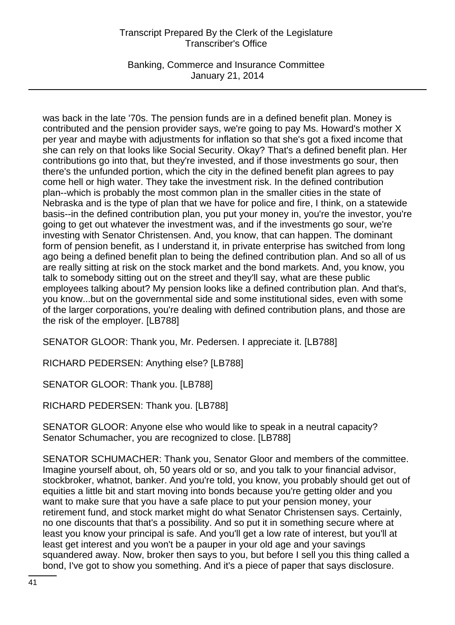Banking, Commerce and Insurance Committee January 21, 2014

was back in the late '70s. The pension funds are in a defined benefit plan. Money is contributed and the pension provider says, we're going to pay Ms. Howard's mother X per year and maybe with adjustments for inflation so that she's got a fixed income that she can rely on that looks like Social Security. Okay? That's a defined benefit plan. Her contributions go into that, but they're invested, and if those investments go sour, then there's the unfunded portion, which the city in the defined benefit plan agrees to pay come hell or high water. They take the investment risk. In the defined contribution plan--which is probably the most common plan in the smaller cities in the state of Nebraska and is the type of plan that we have for police and fire, I think, on a statewide basis--in the defined contribution plan, you put your money in, you're the investor, you're going to get out whatever the investment was, and if the investments go sour, we're investing with Senator Christensen. And, you know, that can happen. The dominant form of pension benefit, as I understand it, in private enterprise has switched from long ago being a defined benefit plan to being the defined contribution plan. And so all of us are really sitting at risk on the stock market and the bond markets. And, you know, you talk to somebody sitting out on the street and they'll say, what are these public employees talking about? My pension looks like a defined contribution plan. And that's, you know...but on the governmental side and some institutional sides, even with some of the larger corporations, you're dealing with defined contribution plans, and those are the risk of the employer. [LB788]

SENATOR GLOOR: Thank you, Mr. Pedersen. I appreciate it. [LB788]

RICHARD PEDERSEN: Anything else? [LB788]

SENATOR GLOOR: Thank you. [LB788]

RICHARD PEDERSEN: Thank you. [LB788]

SENATOR GLOOR: Anyone else who would like to speak in a neutral capacity? Senator Schumacher, you are recognized to close. [LB788]

SENATOR SCHUMACHER: Thank you, Senator Gloor and members of the committee. Imagine yourself about, oh, 50 years old or so, and you talk to your financial advisor, stockbroker, whatnot, banker. And you're told, you know, you probably should get out of equities a little bit and start moving into bonds because you're getting older and you want to make sure that you have a safe place to put your pension money, your retirement fund, and stock market might do what Senator Christensen says. Certainly, no one discounts that that's a possibility. And so put it in something secure where at least you know your principal is safe. And you'll get a low rate of interest, but you'll at least get interest and you won't be a pauper in your old age and your savings squandered away. Now, broker then says to you, but before I sell you this thing called a bond, I've got to show you something. And it's a piece of paper that says disclosure.